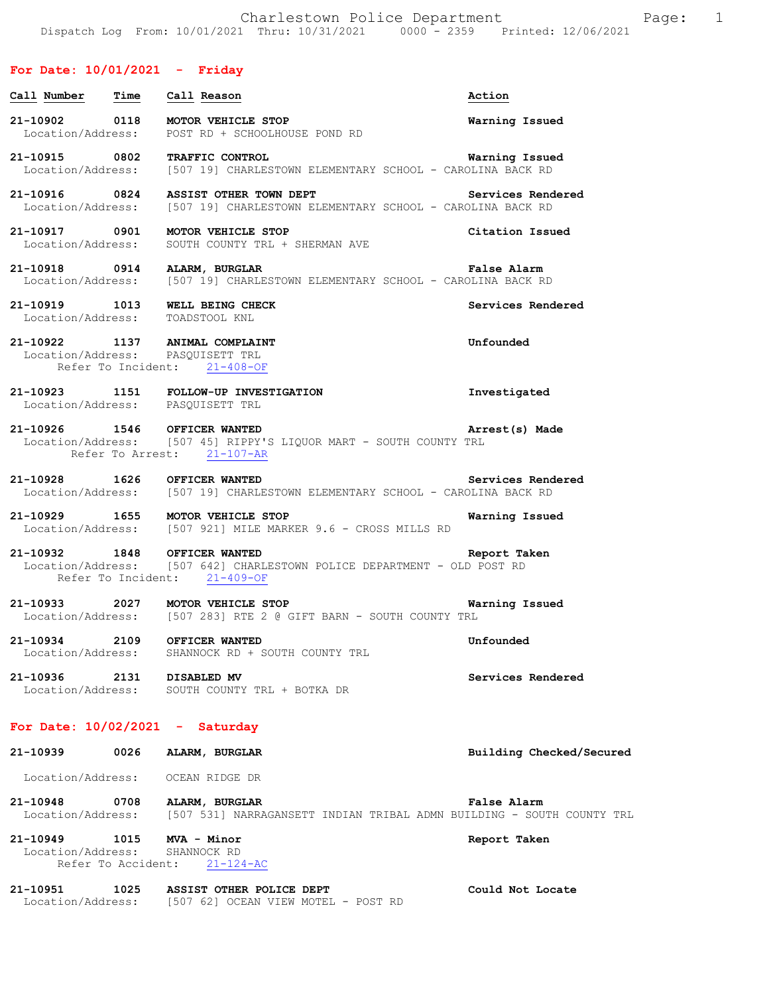# **For Date: 10/01/2021 - Friday**

| Call <u>Number</u>                 | <b>Time</b> | Call Reason                                                                                                                                                                   | Action                   |
|------------------------------------|-------------|-------------------------------------------------------------------------------------------------------------------------------------------------------------------------------|--------------------------|
| 21-10902 0118                      |             | MOTOR VEHICLE STOP<br>Location/Address: POST RD + SCHOOLHOUSE POND RD                                                                                                         | Warning Issued           |
|                                    |             | 21-10915 0802 TRAFFIC CONTROL Narning Issue<br>Location/Address: [507 19] CHARLESTOWN ELEMENTARY SCHOOL - CAROLINA BACK RD                                                    | Warning Issued           |
|                                    |             | 21-10916 0824 ASSIST OTHER TOWN DEPT Services Rend<br>Location/Address: [507 19] CHARLESTOWN ELEMENTARY SCHOOL - CAROLINA BACK RD<br>ASSIST OTHER TOWN DEPT Services Rendered |                          |
| 21-10917 0901<br>Location/Address: |             | MOTOR VEHICLE STOP<br>SOUTH COUNTY TRL + SHERMAN AVE                                                                                                                          | Citation Issued          |
|                                    |             | 21-10918 0914 ALARM, BURGLAR<br>Location/Address: [507 19] CHARLESTOWN ELEMENTARY SCHOOL - CAROLINA BACK RD                                                                   | False Alarm              |
| 21-10919 1013                      |             | WELL BEING CHECK<br>Location/Address: TOADSTOOL KNL                                                                                                                           | Services Rendered        |
|                                    |             | 21-10922 1137 ANIMAL COMPLAINT<br>Location/Address: PASQUISETT TRL<br>Refer To Incident: 21-408-OF                                                                            | Unfounded                |
|                                    |             | 21-10923 1151 FOLLOW-UP INVESTIGATION<br>Location/Address: PASQUISETT TRL                                                                                                     | Investigated             |
|                                    |             | 21-10926 1546 OFFICER WANTED<br>Location/Address: [507 45] RIPPY'S LIQUOR MART - SOUTH COUNTY TRL<br>Refer To Arrest: 21-107-AR                                               | Arrest(s) Made           |
| 21-10928 1626                      |             | OFFICER WANTED<br>Location/Address: [507 19] CHARLESTOWN ELEMENTARY SCHOOL - CAROLINA BACK RD                                                                                 | Services Rendered        |
| 21-10929 1655                      |             | MOTOR VEHICLE STOP<br>Location/Address: [507 921] MILE MARKER 9.6 - CROSS MILLS RD                                                                                            | Warning Issued           |
|                                    |             | 21-10932 1848 OFFICER WANTED<br>Location/Address: [507 642] CHARLESTOWN POLICE DEPARTMENT - OLD POST RD<br>Refer To Incident: 21-409-OF                                       | Report Taken             |
|                                    |             | 21-10933 2027 MOTOR VEHICLE STOP<br>Location/Address: [507 283] RTE 2 @ GIFT BARN - SOUTH COUNTY TRL                                                                          | Warning Issued           |
| 21-10934                           | 2109        | OFFICER WANTED<br>Location/Address: SHANNOCK RD + SOUTH COUNTY TRL                                                                                                            | Unfounded                |
| 21-10936                           | 2131        | DISABLED MV<br>Location/Address: SOUTH COUNTY TRL + BOTKA DR                                                                                                                  | Services Rendered        |
|                                    |             | For Date: $10/02/2021$ - Saturday                                                                                                                                             |                          |
| 21-10939                           | 0026        | ALARM, BURGLAR                                                                                                                                                                | Building Checked/Secured |
|                                    |             | Location/Address: OCEAN RIDGE DR                                                                                                                                              |                          |
| 21-10948<br>Location/Address:      | 0708        | ALARM, BURGLAR<br>[507 531] NARRAGANSETT INDIAN TRIBAL ADMN BUILDING - SOUTH COUNTY TRL                                                                                       | False Alarm              |
| 21-10949 1015 MVA - Minor          |             | Location/Address: SHANNOCK RD<br>Refer To Accident: 21-124-AC                                                                                                                 | Report Taken             |
| 21-10951                           | 1025        | ASSIST OTHER POLICE DEPT                                                                                                                                                      | Could Not Locate         |

Location/Address: [507 62] OCEAN VIEW MOTEL - POST RD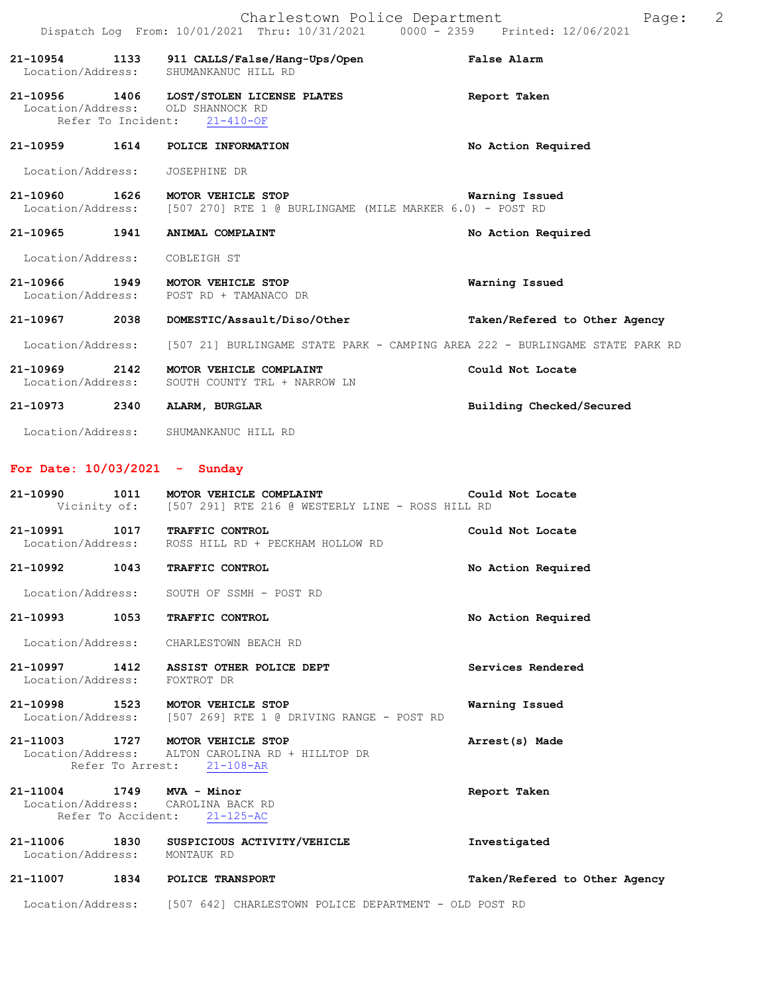|                                |      | Charlestown Police Department<br>Dispatch Log From: 10/01/2021 Thru: 10/31/2021 0000 - 2359 Printed: 12/06/2021 |                    | Page: | -2 |
|--------------------------------|------|-----------------------------------------------------------------------------------------------------------------|--------------------|-------|----|
| Location/Address:              |      | 21-10954 1133 911 CALLS/False/Hang-Ups/Open<br>SHUMANKANUC HILL RD                                              | False Alarm        |       |    |
| 21-10956                       |      | 1406 LOST/STOLEN LICENSE PLATES<br>Location/Address: OLD SHANNOCK RD<br>Refer To Incident: 21-410-OF            | Report Taken       |       |    |
| 21-10959                       |      | 1614 POLICE INFORMATION                                                                                         | No Action Required |       |    |
| Location/Address: JOSEPHINE DR |      |                                                                                                                 |                    |       |    |
| 21–10960 1626                  |      | MOTOR VEHICLE STOP<br>Location/Address: [507 270] RTE 1 @ BURLINGAME (MILE MARKER 6.0) - POST RD                | Warning Issued     |       |    |
| 21-10965                       | 1941 | ANIMAL COMPLAINT                                                                                                | No Action Required |       |    |
| Location/Address:              |      | COBLEIGH ST                                                                                                     |                    |       |    |

- **21-10966 1949 MOTOR VEHICLE STOP Warning Issued**  Location/Address: POST RD + TAMANACO DR
	- **21-10967 2038 DOMESTIC/Assault/Diso/Other Taken/Refered to Other Agency**
	- Location/Address: [507 21] BURLINGAME STATE PARK CAMPING AREA 222 BURLINGAME STATE PARK RD
	- **21-10969 2142 MOTOR VEHICLE COMPLAINT Could Not Locate**  Location/Address: SOUTH COUNTY TRL + NARROW LN
	- **21-10973 2340 ALARM, BURGLAR Building Checked/Secured**
	- Location/Address: SHUMANKANUC HILL RD

### **For Date: 10/03/2021 - Sunday**

|                              | 21-10990 1011 MOTOR VEHICLE COMPLAINT<br>Vicinity of: [507 291] RTE 216 @ WESTERLY LINE - ROSS HILL RD             | Could Not Locate              |
|------------------------------|--------------------------------------------------------------------------------------------------------------------|-------------------------------|
|                              | 21-10991 1017 TRAFFIC CONTROL<br>Location/Address: ROSS HILL RD + PECKHAM HOLLOW RD                                | Could Not Locate              |
| 21-10992 1043                | TRAFFIC CONTROL                                                                                                    | No Action Required            |
|                              | Location/Address: SOUTH OF SSMH - POST RD                                                                          |                               |
| 21-10993 1053                | TRAFFIC CONTROL                                                                                                    | No Action Required            |
|                              | Location/Address: CHARLESTOWN BEACH RD                                                                             |                               |
| Location/Address: FOXTROT DR | 21-10997 1412 ASSIST OTHER POLICE DEPT                                                                             | Services Rendered             |
|                              | 21-10998 1523 MOTOR VEHICLE STOP<br>Location/Address: [507 269] RTE 1 @ DRIVING RANGE - POST RD                    | Warning Issued                |
|                              | 21-11003 1727 MOTOR VEHICLE STOP<br>Location/Address: ALTON CAROLINA RD + HILLTOP DR<br>Refer To Arrest: 21-108-AR | Arrest(s) Made                |
| 21-11004 1749 MVA - Minor    | Location/Address: CAROLINA BACK RD<br>Refer To Accident: 21-125-AC                                                 | Report Taken                  |
| Location/Address: MONTAUK RD | 21-11006 1830 SUSPICIOUS ACTIVITY/VEHICLE                                                                          | Investigated                  |
|                              | 21-11007 1834 POLICE TRANSPORT                                                                                     | Taken/Refered to Other Agency |
| Location/Address:            | [507 642] CHARLESTOWN POLICE DEPARTMENT - OLD POST RD                                                              |                               |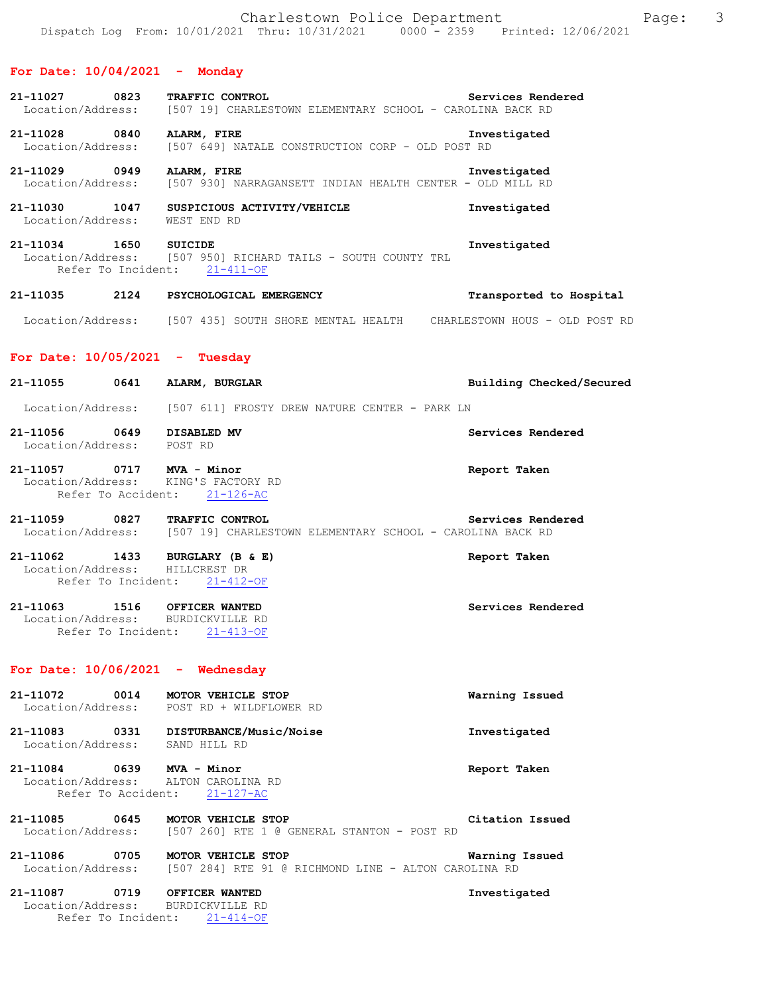#### **For Date: 10/04/2021 - Monday**

| 21-11027          | 0823 | <b>TRAFFIC CONTROL</b> |  | Services Rendered                                         |  |
|-------------------|------|------------------------|--|-----------------------------------------------------------|--|
| Location/Address: |      |                        |  | [507 19] CHARLESTOWN ELEMENTARY SCHOOL - CAROLINA BACK RD |  |

**21-11028 0840 ALARM, FIRE Investigated**  [507 649] NATALE CONSTRUCTION CORP - OLD POST RD

**21-11029 0949 ALARM, FIRE Investigated**  Location/Address: [507 930] NARRAGANSETT INDIAN HEALTH CENTER - OLD MILL RD

**21-11030 1047 SUSPICIOUS ACTIVITY/VEHICLE Investigated**  Location/Address: WEST END RD

**21-11034 1650 SUICIDE Investigated**  Location/Address: [507 950] RICHARD TAILS - SOUTH COUNTY TRL Refer To Incident: 21-411-OF

**21-11035 2124 PSYCHOLOGICAL EMERGENCY Transported to Hospital**  Location/Address: [507 435] SOUTH SHORE MENTAL HEALTH CHARLESTOWN HOUS - OLD POST RD

#### **For Date: 10/05/2021 - Tuesday**

| 21-11055                      | 0641 | ALARM, BURGLAR                                                                     |                   | Building Checked/Secured |
|-------------------------------|------|------------------------------------------------------------------------------------|-------------------|--------------------------|
| Location/Address:             |      | [507 611] FROSTY DREW NATURE CENTER - PARK LN                                      |                   |                          |
| 21-11056<br>Location/Address: | 0649 | DISABLED MV<br>POST RD                                                             | Services Rendered |                          |
| 21-11057                      | 0717 | MVA - Minor<br>Location/Address: KING'S FACTORY RD<br>Refer To Accident: 21-126-AC | Report Taken      |                          |

**21-11059 0827 TRAFFIC CONTROL Services Rendered**  Location/Address: [507 19] CHARLESTOWN ELEMENTARY SCHOOL - CAROLINA BACK RD

**21-11062 1433 BURGLARY (B & E) Report Taken**  Location/Address: HILLCREST DR Refer To Incident: 21-412-OF

**21-11063 1516 OFFICER WANTED Services Rendered**  Location/Address: BURDICKVILLE RD Refer To Incident: 21-413-OF

#### **For Date: 10/06/2021 - Wednesday**

Refer To Incident: 21-414-OF

| 21-11072<br>Location/Address: | 0014                       | <b>MOTOR VEHICLE STOP</b><br>POST RD + WILDFLOWER RD                              | Warning Issued  |
|-------------------------------|----------------------------|-----------------------------------------------------------------------------------|-----------------|
| 21-11083<br>Location/Address: | 0331                       | DISTURBANCE/Music/Noise<br>SAND HILL RD                                           | Investigated    |
| 21-11084                      | 0639<br>Refer To Accident: | MVA - Minor<br>Location/Address: ALTON CAROLINA RD<br>$21 - 127 - AC$             | Report Taken    |
| 21-11085<br>Location/Address: | 0645                       | <b>MOTOR VEHICLE STOP</b><br>[507 260] RTE 1 @ GENERAL STANTON - POST RD          | Citation Issued |
| 21-11086<br>Location/Address: | 0705                       | <b>MOTOR VEHICLE STOP</b><br>[507 284] RTE 91 @ RICHMOND LINE - ALTON CAROLINA RD | Warning Issued  |
| 21-11087<br>Location/Address: | 0719                       | OFFICER WANTED<br>BURDICKVILLE RD                                                 | Investigated    |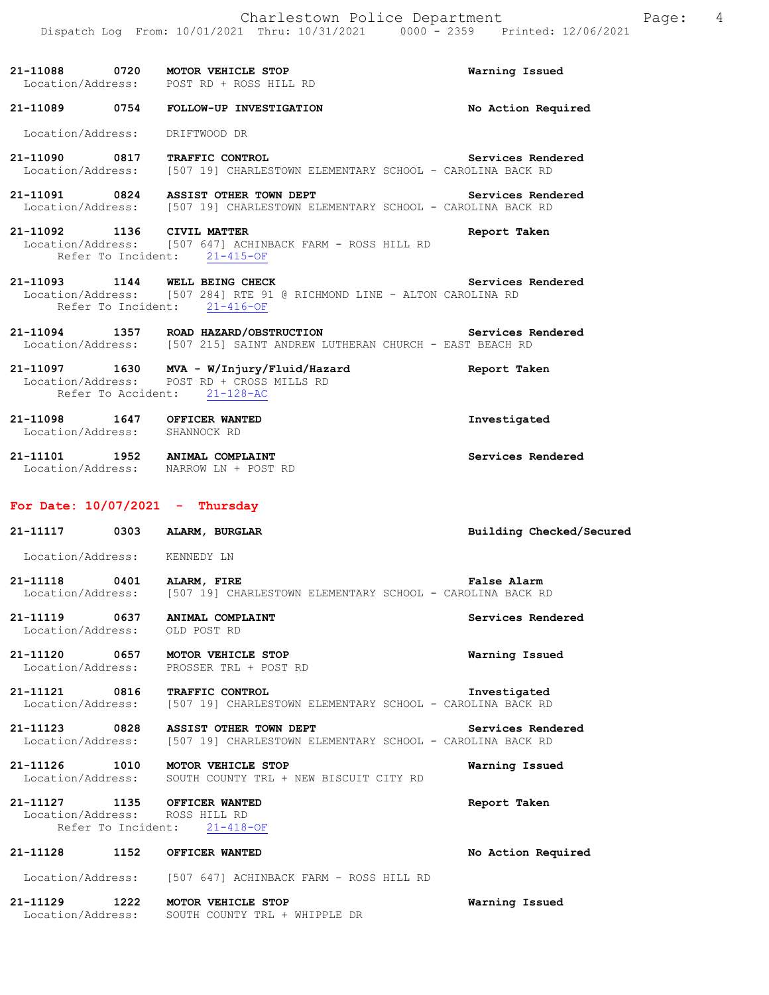| 21-11088 0720 MOTOR VEHICLE STOP | Location/Address: POST RD + ROSS HILL RD                                                                                            | Warning Issued     |
|----------------------------------|-------------------------------------------------------------------------------------------------------------------------------------|--------------------|
| 21-11089 0754                    | FOLLOW-UP INVESTIGATION                                                                                                             | No Action Required |
| Location/Address:                | DRIFTWOOD DR                                                                                                                        |                    |
| 21-11090 0817 TRAFFIC CONTROL    | Location/Address: [507 19] CHARLESTOWN ELEMENTARY SCHOOL - CAROLINA BACK RD                                                         | Services Rendered  |
|                                  | 21-11091 0824 ASSIST OTHER TOWN DEPT<br>Location/Address: [507 19] CHARLESTOWN ELEMENTARY SCHOOL - CAROLINA BACK RD                 | Services Rendered  |
| 21-11092 1136 CIVIL MATTER       | Location/Address: [507 647] ACHINBACK FARM - ROSS HILL RD<br>Refer To Incident: 21-415-OF                                           | Report Taken       |
| 21-11093 1144 WELL BEING CHECK   | Location/Address: [507 284] RTE 91 @ RICHMOND LINE - ALTON CAROLINA RD<br>Refer To Incident: 21-416-OF                              | Services Rendered  |
|                                  | 21-11094 1357 ROAD HAZARD/OBSTRUCTION Services Rendered<br>Location/Address: [507 215] SAINT ANDREW LUTHERAN CHURCH - EAST BEACH RD |                    |
|                                  | 21-11097 1630 MVA - W/Injury/Fluid/Hazard<br>Location/Address: POST RD + CROSS MILLS RD<br>Refer To Accident: 21-128-AC             | Report Taken       |

**21-11098 1647 OFFICER WANTED Investigated**  Location/Address: SHANNOCK RD

**21-11101 1952 ANIMAL COMPLAINT Services Rendered**  Location/Address: NARROW LN + POST RD

# **For Date: 10/07/2021 - Thursday**

| 21-11117 0303                                                   | ALARM, BURGLAR                                                                                                                           | Building Checked/Secured |
|-----------------------------------------------------------------|------------------------------------------------------------------------------------------------------------------------------------------|--------------------------|
| Location/Address: KENNEDY LN                                    |                                                                                                                                          |                          |
| 21-11118 0401 ALARM, FIRE                                       | Location/Address: [507 19] CHARLESTOWN ELEMENTARY SCHOOL - CAROLINA BACK RD                                                              | <b>False Alarm</b>       |
| 21-11119 0637 ANIMAL COMPLAINT<br>Location/Address: OLD POST RD |                                                                                                                                          | Services Rendered        |
| 21-11120 0657 MOTOR VEHICLE STOP                                | Location/Address: PROSSER TRL + POST RD                                                                                                  | Warning Issued           |
| 21-11121 0816 TRAFFIC CONTROL                                   | Location/Address: [507 19] CHARLESTOWN ELEMENTARY SCHOOL - CAROLINA BACK RD                                                              | Investigated             |
|                                                                 | Services Rendered<br>21-11123 0828 ASSIST OTHER TOWN DEPT<br>Location/Address: [507 19] CHARLESTOWN ELEMENTARY SCHOOL - CAROLINA BACK RD |                          |
| 21-11126 1010 MOTOR VEHICLE STOP                                | Location/Address: SOUTH COUNTY TRL + NEW BISCUIT CITY RD                                                                                 | Warning Issued           |
| 21-11127 1135 OFFICER WANTED<br>Location/Address: ROSS HILL RD  | Refer To Incident: 21-418-OF                                                                                                             | Report Taken             |
| 21-11128 1152                                                   | OFFICER WANTED                                                                                                                           | No Action Required       |
|                                                                 | Location/Address: [507 647] ACHINBACK FARM - ROSS HILL RD                                                                                |                          |
| 21-11129 1222 MOTOR VEHICLE STOP<br>Location/Address:           | SOUTH COUNTY TRL + WHIPPLE DR                                                                                                            | Warning Issued           |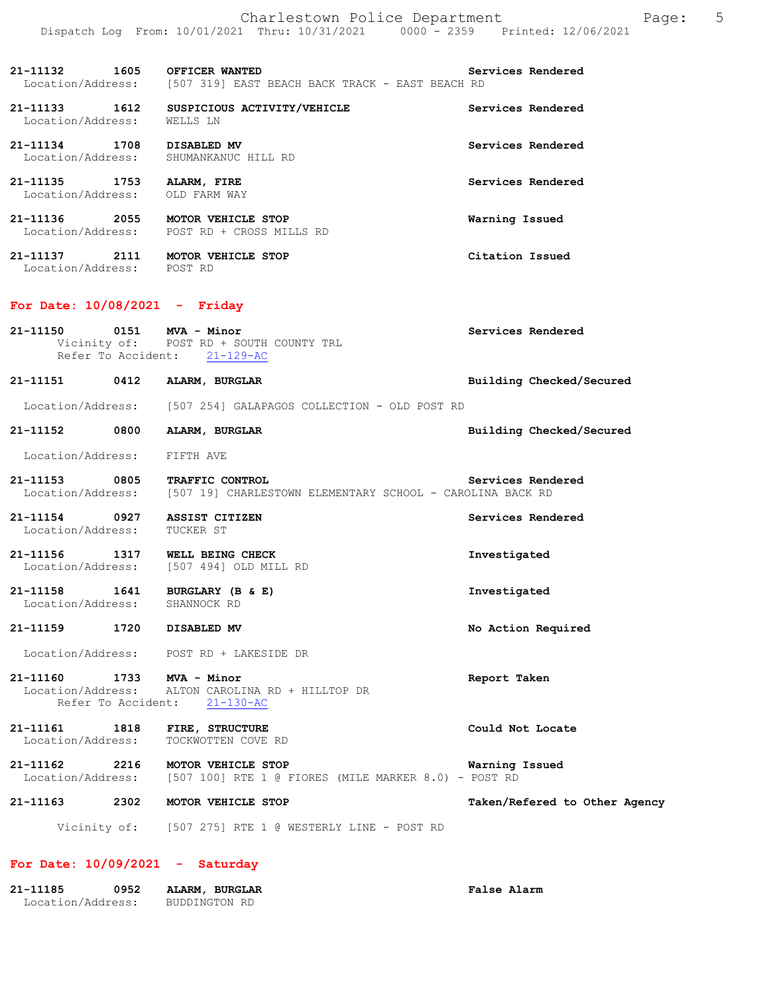Charlestown Police Department Page: 5 Dispatch Log From: 10/01/2021 Thru: 10/31/2021 0000 - 2359 Printed: 12/06/2021

**21-11132 1605 OFFICER WANTED Services Rendered**  Location/Address: [507 319] EAST BEACH BACK TRACK - EAST BEACH RD

**21-11133 1612 SUSPICIOUS ACTIVITY/VEHICLE Services Rendered**  Location/Address: WELLS LN

**21-11134 1708 DISABLED MV Services Rendered**  Location/Address: SHUMANKANUC HILL RD

**21-11135 1753 ALARM, FIRE Services Rendered**  Location/Address: OLD FARM WAY

**21-11136 2055 MOTOR VEHICLE STOP Warning Issued**  Location/Address: POST RD + CROSS MILLS RD

**21-11137 2111 MOTOR VEHICLE STOP Citation Issued**  Location/Address: POST RD

#### **For Date: 10/08/2021 - Friday**

**21-11150 0151 MVA - Minor Services Rendered**  Vicinity of: POST RD + SOUTH COUNTY TRL Refer To Accident: 21-129-AC

**21-11151 0412 ALARM, BURGLAR Building Checked/Secured** 

Location/Address: [507 254] GALAPAGOS COLLECTION - OLD POST RD

**21-11152 0800 ALARM, BURGLAR Building Checked/Secured** 

Location/Address: FIFTH AVE

**21-11153 0805 TRAFFIC CONTROL Services Rendered**  Location/Address: [507 19] CHARLESTOWN ELEMENTARY SCHOOL - CAROLINA BACK RD

**21-11154 0927 ASSIST CITIZEN Services Rendered**  Location/Address:

**21-11156 1317 WELL BEING CHECK Investigated**  Location/Address: [507 494] OLD MILL RD

**21-11158 1641 BURGLARY (B & E) Investigated**  Location/Address: SHANNOCK RD

#### **21-11159 1720 DISABLED MV No Action Required**

Location/Address: POST RD + LAKESIDE DR

**21-11160 1733 MVA - Minor Report Taken**  ALTON CAROLINA RD + HILLTOP DR Refer To Accident: 21-130-AC

**21-11161 1818 FIRE, STRUCTURE Could Not Locate**  Location/Address: TOCKWOTTEN COVE RD

**21-11162 2216 MOTOR VEHICLE STOP Warning Issued**  Location/Address: [507 100] RTE 1 @ FIORES (MILE MARKER 8.0) - POST RD

**21-11163 2302 MOTOR VEHICLE STOP Taken/Refered to Other Agency**

Vicinity of: [507 275] RTE 1 @ WESTERLY LINE - POST RD

#### **For Date: 10/09/2021 - Saturday**

| 21–11185          | 0952 | ALARM, BURGLAR | <b>False Alarm</b> |
|-------------------|------|----------------|--------------------|
| Location/Address: |      | BUDDINGTON RD  |                    |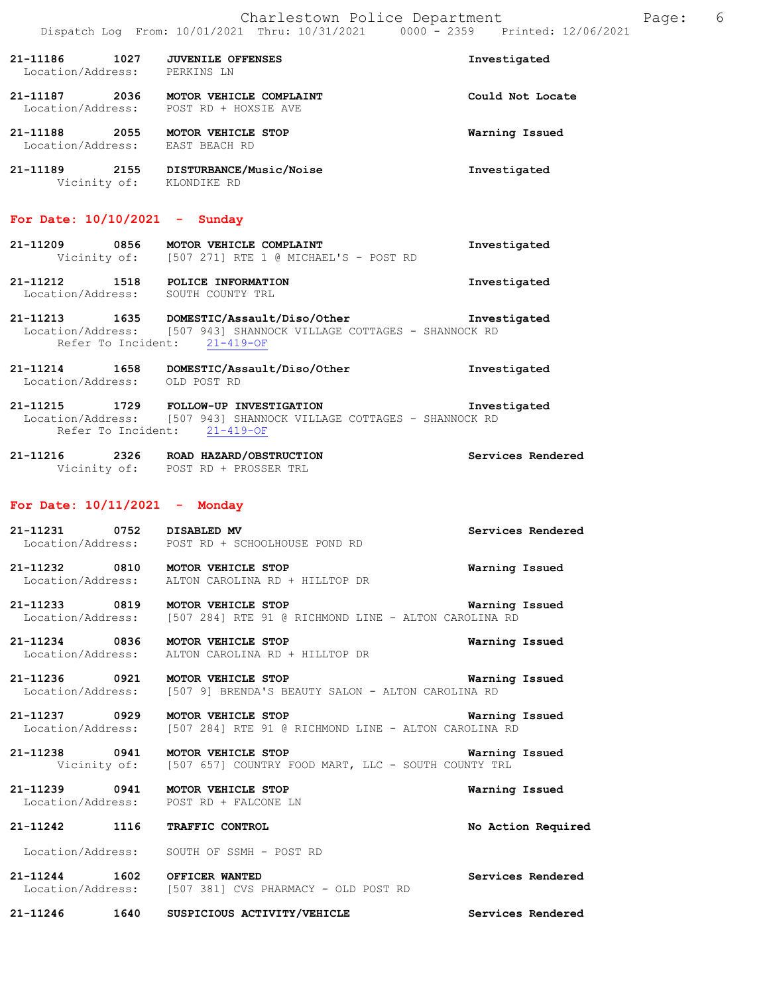| 21-11186<br>Location/Address: | 1027 | <b>JUVENILE OFFENSES</b><br>PERKINS LN          | Investigated     |
|-------------------------------|------|-------------------------------------------------|------------------|
| 21-11187<br>Location/Address: | 2036 | MOTOR VEHICLE COMPLAINT<br>POST RD + HOXSIE AVE | Could Not Locate |
| 21-11188<br>Location/Address: | 2055 | MOTOR VEHICLE STOP<br>EAST BEACH RD             | Warning Issued   |
| 21-11189                      | 2155 | DISTURBANCE/Music/Noise                         | Investigated     |

### **For Date: 10/10/2021 - Sunday**

Vicinity of: KLONDIKE RD

| 21-11209 | 0856         | MOTOR VEHICLE COMPLAINT               | Investigated |
|----------|--------------|---------------------------------------|--------------|
|          | Vicinity of: | [507 271] RTE 1 @ MICHAEL'S - POST RD |              |

**21-11212 1518 POLICE INFORMATION Investigated**  Location/Address: SOUTH COUNTY TRL

**21-11213 1635 DOMESTIC/Assault/Diso/Other Investigated**  Location/Address: [507 943] SHANNOCK VILLAGE COTTAGES - SHANNOCK RD Refer To Incident: 21-419-OF

**21-11214 1658 DOMESTIC/Assault/Diso/Other Investigated**  Location/Address: OLD POST RD

**21-11215 1729 FOLLOW-UP INVESTIGATION Investigated**  Location/Address: [507 943] SHANNOCK VILLAGE COTTAGES - SHANNOCK RD Refer To Incident: 21-419-OF

**21-11216 2326 ROAD HAZARD/OBSTRUCTION Services Rendered**  Vicinity of: POST RD + PROSSER TRL

#### **For Date: 10/11/2021 - Monday**

**21-11231 0752 DISABLED MV Services Rendered**  Location/Address: POST RD + SCHOOLHOUSE POND RD

**21-11232 0810 MOTOR VEHICLE STOP Warning Issued**  Location/Address: ALTON CAROLINA RD + HILLTOP DR

**21-11233 0819 MOTOR VEHICLE STOP Warning Issued**  Location/Address: [507 284] RTE 91 @ RICHMOND LINE - ALTON CAROLINA RD

**21-11234 0836 MOTOR VEHICLE STOP Warning Issued**  Location/Address: ALTON CAROLINA RD + HILLTOP DR

**21-11236 0921 MOTOR VEHICLE STOP Warning Issued**  Location/Address: [507 9] BRENDA'S BEAUTY SALON - ALTON CAROLINA RD

**21-11237 0929 MOTOR VEHICLE STOP Warning Issued**  [507 284] RTE 91 @ RICHMOND LINE - ALTON CAROLINA RD

**21-11238 0941 MOTOR VEHICLE STOP Warning Issued**  Vicinity of: [507 657] COUNTRY FOOD MART, LLC - SOUTH COUNTY TRL

**21-11239 0941 MOTOR VEHICLE STOP Warning Issued**  Location/Address: POST RD + FALCONE LN

**21-11242 1116 TRAFFIC CONTROL No Action Required** 

Location/Address: SOUTH OF SSMH - POST RD

**21-11244 1602 OFFICER WANTED Services Rendered**  Location/Address: [507 381] CVS PHARMACY - OLD POST RD

**21-11246 1640 SUSPICIOUS ACTIVITY/VEHICLE Services Rendered**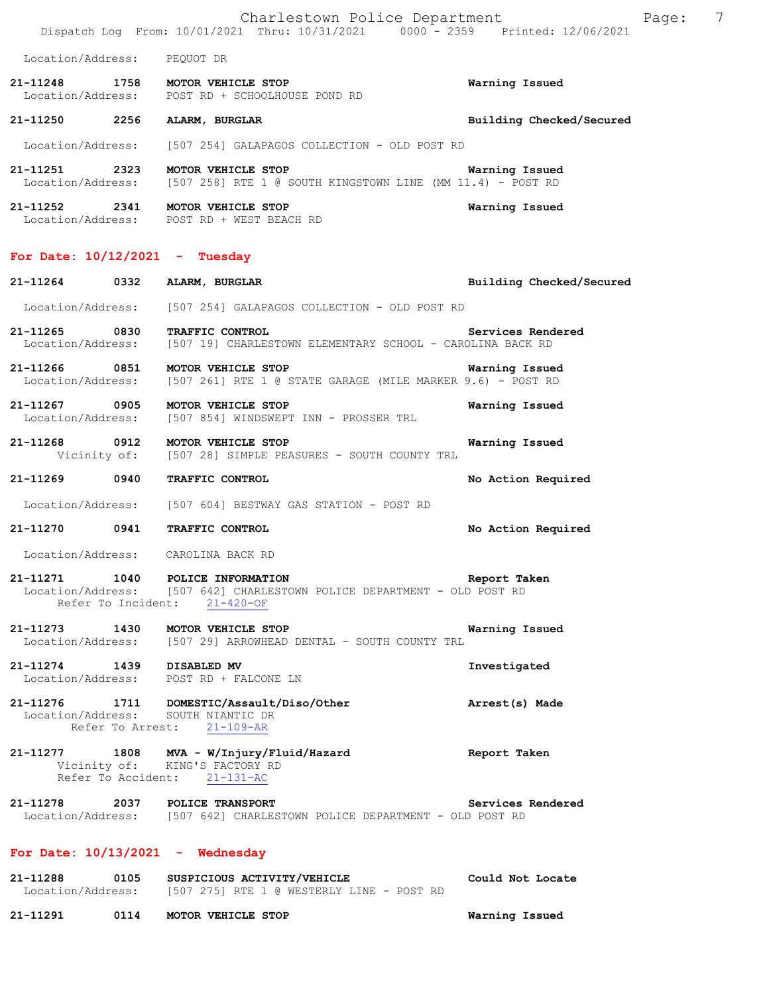Charlestown Police Department Page: 7 Dispatch Log From: 10/01/2021 Thru: 10/31/2021 0000 - 2359 Printed: 12/06/2021 Location/Address: PEQUOT DR **21-11248 1758 MOTOR VEHICLE STOP Warning Issued**  Location/Address: POST RD + SCHOOLHOUSE POND RD **21-11250 2256 ALARM, BURGLAR Building Checked/Secured**  Location/Address: [507 254] GALAPAGOS COLLECTION - OLD POST RD **21-11251 2323 MOTOR VEHICLE STOP Warning Issued**   $[507 258]$  RTE 1 @ SOUTH KINGSTOWN LINE (MM 11.4) - POST RD **21-11252 2341 MOTOR VEHICLE STOP Warning Issued**  Location/Address: POST RD + WEST BEACH RD **For Date: 10/12/2021 - Tuesday 21-11264 0332 ALARM, BURGLAR Building Checked/Secured**  Location/Address: [507 254] GALAPAGOS COLLECTION - OLD POST RD **21-11265 0830 TRAFFIC CONTROL Services Rendered**  Location/Address: [507 19] CHARLESTOWN ELEMENTARY SCHOOL - CAROLINA BACK RD **21-11266 0851 MOTOR VEHICLE STOP Warning Issued**  Location/Address: [507 261] RTE 1 @ STATE GARAGE (MILE MARKER 9.6) - POST RD **21-11267 0905 MOTOR VEHICLE STOP Warning Issued**  Location/Address: [507 854] WINDSWEPT INN - PROSSER TRL **21-11268** 0912 MOTOR VEHICLE STOP Warning Issued<br>Vicinity of: [507 28] SIMPLE PEASURES - SOUTH COUNTY TRL [507 28] SIMPLE PEASURES - SOUTH COUNTY TRL **21-11269 0940 TRAFFIC CONTROL No Action Required**  Location/Address: [507 604] BESTWAY GAS STATION - POST RD **21-11270 0941 TRAFFIC CONTROL No Action Required**  Location/Address: CAROLINA BACK RD **21-11271 1040 POLICE INFORMATION Report Taken**  Location/Address: [507 642] CHARLESTOWN POLICE DEPARTMENT - OLD POST RD Refer To Incident: 21-420-OF **21-11273 1430 MOTOR VEHICLE STOP Warning Issued**  Location/Address: [507 29] ARROWHEAD DENTAL - SOUTH COUNTY TRL **21-11274 1439 DISABLED MV Investigated**  Location/Address: POST RD + FALCONE LN **21-11276 1711 DOMESTIC/Assault/Diso/Other Arrest(s) Made**  Location/Address: SOUTH NIANTIC DR Refer To Arrest: 21-109-AR **21-11277 1808 MVA - W/Injury/Fluid/Hazard Report Taken**  Vicinity of: KING'S FACTORY RD Refer To Accident: 21-131-AC **21-11278 2037 POLICE TRANSPORT Services Rendered**  Location/Address: [507 642] CHARLESTOWN POLICE DEPARTMENT - OLD POST RD **For Date: 10/13/2021 - Wednesday 21-11288 0105 SUSPICIOUS ACTIVITY/VEHICLE Could Not Locate**  Location/Address: [507 275] RTE 1 @ WESTERLY LINE - POST RD **21-11291 0114 MOTOR VEHICLE STOP Warning Issued**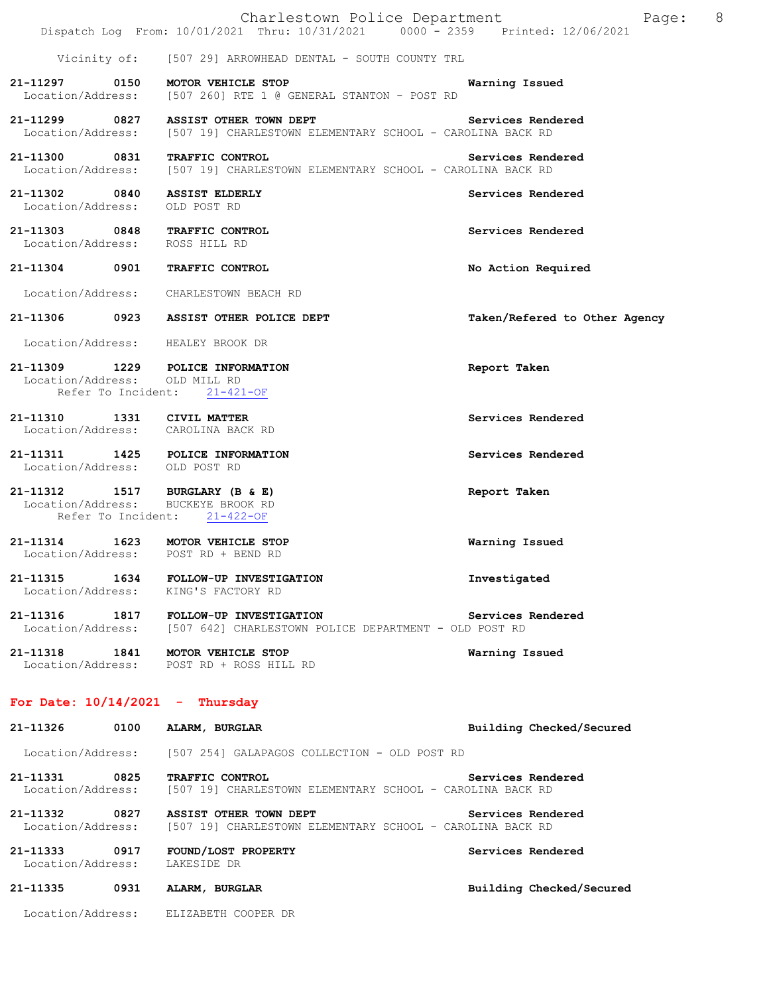|                                                                 |      | Charlestown Police Department<br>Dispatch Log From: 10/01/2021 Thru: 10/31/2021 0000 <sup>-</sup> 2359 Printed: 12/06/2021 | 8<br>Page:                    |
|-----------------------------------------------------------------|------|----------------------------------------------------------------------------------------------------------------------------|-------------------------------|
|                                                                 |      | Vicinity of: [507 29] ARROWHEAD DENTAL - SOUTH COUNTY TRL                                                                  |                               |
|                                                                 |      | 21-11297 0150 MOTOR VEHICLE STOP<br>Location/Address: [507 260] RTE 1 @ GENERAL STANTON - POST RD                          | Warning Issued                |
|                                                                 |      | 21-11299 0827 ASSIST OTHER TOWN DEPT<br>Location/Address: [507 19] CHARLESTOWN ELEMENTARY SCHOOL - CAROLINA BACK RD        | Services Rendered             |
| 21-11300 0831                                                   |      | TRAFFIC CONTROL<br>Location/Address: [507 19] CHARLESTOWN ELEMENTARY SCHOOL - CAROLINA BACK RD                             | Services Rendered             |
| 21-11302 0840 ASSIST ELDERLY<br>Location/Address: OLD POST RD   |      |                                                                                                                            | Services Rendered             |
| 21-11303 0848 TRAFFIC CONTROL<br>Location/Address: ROSS HILL RD |      |                                                                                                                            | Services Rendered             |
| 21-11304 0901                                                   |      | TRAFFIC CONTROL                                                                                                            | No Action Required            |
|                                                                 |      | Location/Address: CHARLESTOWN BEACH RD                                                                                     |                               |
|                                                                 |      | 21-11306 0923 ASSIST OTHER POLICE DEPT                                                                                     | Taken/Refered to Other Agency |
|                                                                 |      | Location/Address: HEALEY BROOK DR                                                                                          |                               |
| Location/Address: OLD MILL RD<br>Refer To Incident:             |      | 21-11309 1229 POLICE INFORMATION<br>$21 - 421 - OF$                                                                        | Report Taken                  |
| 21-11310 1331 CIVIL MATTER                                      |      | Location/Address: CAROLINA BACK RD                                                                                         | Services Rendered             |
| Location/Address: OLD POST RD                                   |      | 21-11311 1425 POLICE INFORMATION                                                                                           | Services Rendered             |
| 21-11312 1517 BURGLARY (B & E)<br>Refer To Incident:            |      | Location/Address: BUCKEYE BROOK RD<br>$21 - 422 - OF$                                                                      | Report Taken                  |
|                                                                 |      | 21-11314 1623 MOTOR VEHICLE STOP<br>Location/Address: POST RD + BEND RD                                                    | Warning Issued                |
| 21-11315                                                        | 1634 | FOLLOW-UP INVESTIGATION<br>Location/Address: KING'S FACTORY RD                                                             | Investigated                  |
|                                                                 |      | 21-11316 1817 FOLLOW-UP INVESTIGATION<br>Location/Address: [507 642] CHARLESTOWN POLICE DEPARTMENT - OLD POST RD           | Services Rendered             |
| 21-11318 1841                                                   |      | MOTOR VEHICLE STOP<br>Location/Address: POST RD + ROSS HILL RD                                                             | Warning Issued                |
| For Date: $10/14/2021$ - Thursday                               |      |                                                                                                                            |                               |
| 21-11326                                                        | 0100 | ALARM, BURGLAR                                                                                                             | Building Checked/Secured      |
| Location/Address:                                               |      | [507 254] GALAPAGOS COLLECTION - OLD POST RD                                                                               |                               |
| 21-11331<br>Location/Address:                                   | 0825 | TRAFFIC CONTROL<br>[507 19] CHARLESTOWN ELEMENTARY SCHOOL - CAROLINA BACK RD                                               | Services Rendered             |
| 21-11332<br>Location/Address:                                   | 0827 | ASSIST OTHER TOWN DEPT<br>[507 19] CHARLESTOWN ELEMENTARY SCHOOL - CAROLINA BACK RD                                        | Services Rendered             |
| 21-11333<br>Location/Address:                                   | 0917 | FOUND/LOST PROPERTY<br>LAKESIDE DR                                                                                         | Services Rendered             |
| 21-11335                                                        | 0931 | ALARM, BURGLAR                                                                                                             | Building Checked/Secured      |
|                                                                 |      | Location/Address: ELIZABETH COOPER DR                                                                                      |                               |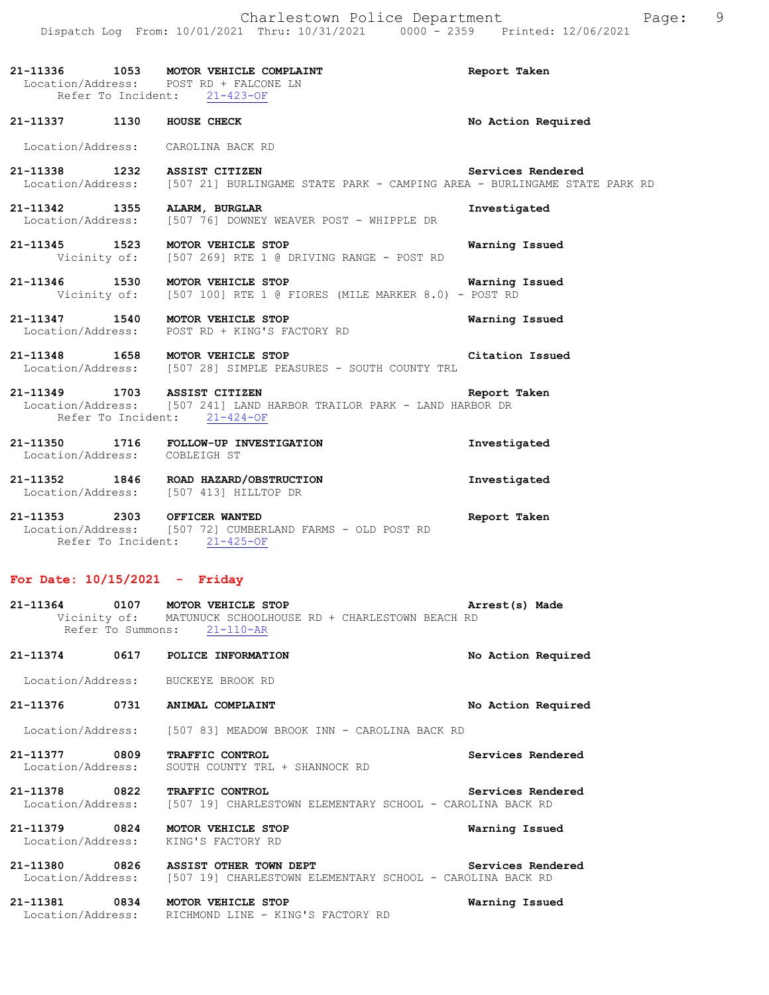## **21-11336 1053 MOTOR VEHICLE COMPLAINT Report Taken**  Location/Address: POST RD + FALCONE LN Refer To Incident: 21-423-OF

Location/Address: CAROLINA BACK RD

21-11338 1232 ASSIST CITIZEN **Services Rendered** Location/Address: [507 21] BURLINGAME STATE PARK - CAMPING AREA - BURLINGAME STA [507 21] BURLINGAME STATE PARK - CAMPING AREA - BURLINGAME STATE PARK RD

**21-11337 1130 HOUSE CHECK No Action Required** 

**21-11342 1355 ALARM, BURGLAR Investigated**  Location/Address: [507 76] DOWNEY WEAVER POST - WHIPPLE DR

**21-11345 1523 MOTOR VEHICLE STOP Warning Issued**  Vicinity of: [507 269] RTE 1 @ DRIVING RANGE - POST RD

**21-11346 1530 MOTOR VEHICLE STOP Warning Issued**  Vicinity of: [507 100] RTE 1 @ FIORES (MILE MARKER 8.0) - POST RD

**21-11347 1540 MOTOR VEHICLE STOP Warning Issued**  POST RD + KING'S FACTORY RD

**21-11348 1658 MOTOR VEHICLE STOP Citation Issued**  Location/Address: [507 28] SIMPLE PEASURES - SOUTH COUNTY TRL

**21-11349 1703 ASSIST CITIZEN Report Taken**  Location/Address: [507 241] LAND HARBOR TRAILOR PARK - LAND HARBOR DR Refer To Incident: 21-424-OF

**21-11350 1716 FOLLOW-UP INVESTIGATION Investigated**  Location/Address: COBLEIGH ST **21-11352 1846 ROAD HAZARD/OBSTRUCTION Investigated** 

Location/Address: [507 413] HILLTOP DR

**21-11353 2303 OFFICER WANTED Report Taken**  Location/Address: [507 72] CUMBERLAND FARMS - OLD POST RD Refer To Incident: 21-425-OF

### **For Date: 10/15/2021 - Friday**

| 21-11364 0107 MOTOR VEHICLE STOP<br>Refer To Summons: | Vicinity of: MATUNUCK SCHOOLHOUSE RD + CHARLESTOWN BEACH RD<br>$21 - 110 - AR$                                      | Arrest(s) Made     |
|-------------------------------------------------------|---------------------------------------------------------------------------------------------------------------------|--------------------|
| 21-11374<br>0617                                      | POLICE INFORMATION                                                                                                  | No Action Required |
| Location/Address: BUCKEYE BROOK RD                    |                                                                                                                     |                    |
| 21-11376<br>0731                                      | ANIMAL COMPLAINT                                                                                                    | No Action Required |
|                                                       | Location/Address: [507 83] MEADOW BROOK INN - CAROLINA BACK RD                                                      |                    |
| 21-11377 0809<br>Location/Address:                    | <b>TRAFFIC CONTROL</b><br>SOUTH COUNTY TRL + SHANNOCK RD                                                            | Services Rendered  |
| 21-11378 0822                                         | <b>TRAFFIC CONTROL</b><br>Location/Address: [507 19] CHARLESTOWN ELEMENTARY SCHOOL - CAROLINA BACK RD               | Services Rendered  |
| 21-11379 0824<br>Location/Address: KING'S FACTORY RD  | MOTOR VEHICLE STOP                                                                                                  | Warning Issued     |
|                                                       | 21-11380 0826 ASSIST OTHER TOWN DEPT<br>Location/Address: [507 19] CHARLESTOWN ELEMENTARY SCHOOL - CAROLINA BACK RD | Services Rendered  |
| 21-11381 0834<br>Location/Address:                    | MOTOR VEHICLE STOP<br>RICHMOND LINE - KING'S FACTORY RD                                                             | Warning Issued     |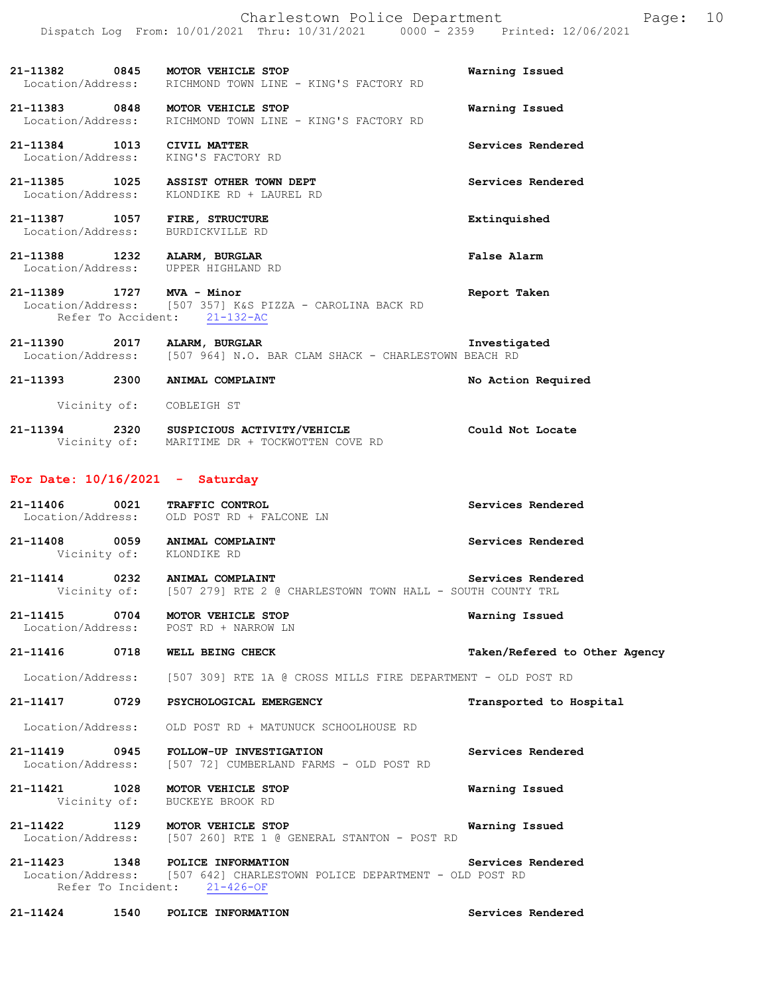**21-11382 0845 MOTOR VEHICLE STOP Warning Issued**  Location/Address: RICHMOND TOWN LINE - KING'S FACTORY RD

**21-11383 0848 MOTOR VEHICLE STOP Warning Issued**  Location/Address: RICHMOND TOWN LINE - KING'S FACTORY RD

**21-11384 1013 CIVIL MATTER Services Rendered**  Location/Address: KING'S FACTORY RD

**21-11385 1025 ASSIST OTHER TOWN DEPT Services Rendered**  Location/Address: KLONDIKE RD + LAUREL RD

**21-11387 1057 FIRE, STRUCTURE Extinquished**  Location/Address: BURDICKVILLE RD

**21-11388 1232 ALARM, BURGLAR False Alarm**  Location/Address: UPPER HIGHLAND RD

**21-11389 1727 MVA - Minor Report Taken**  Location/Address: [507 357] K&S PIZZA - CAROLINA BACK RD Refer To Accident: 21-132-AC

**21-11390 2017 ALARM, BURGLAR Investigated**  Location/Address: [507 964] N.O. BAR CLAM SHACK - CHARLESTOWN BEACH RD

**21-11393 2300 ANIMAL COMPLAINT No Action Required**  Vicinity of: COBLEIGH ST

**21-11394 2320 SUSPICIOUS ACTIVITY/VEHICLE Could Not Locate**  Vicinity of: MARITIME DR + TOCKWOTTEN COVE RD

#### **For Date: 10/16/2021 - Saturday**

| 21-11406 | 0021              | <b>TRAFFIC CONTROL</b>   | Services Rendered |
|----------|-------------------|--------------------------|-------------------|
|          | Location/Address: | OLD POST RD + FALCONE LN |                   |
|          |                   |                          |                   |

**21-11408 0059 ANIMAL COMPLAINT Services Rendered**  Vicinity of: KLONDIKE RD

**21-11414 0232 ANIMAL COMPLAINT Services Rendered**  Vicinity of: [507 279] RTE 2 @ CHARLESTOWN TOWN HALL - SOUTH COUNTY TRL

**21-11415 0704 MOTOR VEHICLE STOP Warning Issued**  Location/Address:

**21-11416 0718 WELL BEING CHECK Taken/Refered to Other Agency**

Location/Address: [507 309] RTE 1A @ CROSS MILLS FIRE DEPARTMENT - OLD POST RD

**21-11417 0729 PSYCHOLOGICAL EMERGENCY Transported to Hospital** 

Location/Address: OLD POST RD + MATUNUCK SCHOOLHOUSE RD

**21-11419 0945 FOLLOW-UP INVESTIGATION Services Rendered**  Location/Address: [507 72] CUMBERLAND FARMS - OLD POST RD

**21-11421 1028 MOTOR VEHICLE STOP Warning Issued**  Vicinity of: BUCKEYE BROOK RD

**21-11422 1129 MOTOR VEHICLE STOP Warning Issued**  Location/Address: [507 260] RTE 1 @ GENERAL STANTON - POST RD

**21-11423 1348 POLICE INFORMATION Services Rendered**  [507 642] CHARLESTOWN POLICE DEPARTMENT - OLD POST RD Refer To Incident: 21-426-OF

**21-11424 1540 POLICE INFORMATION Services Rendered**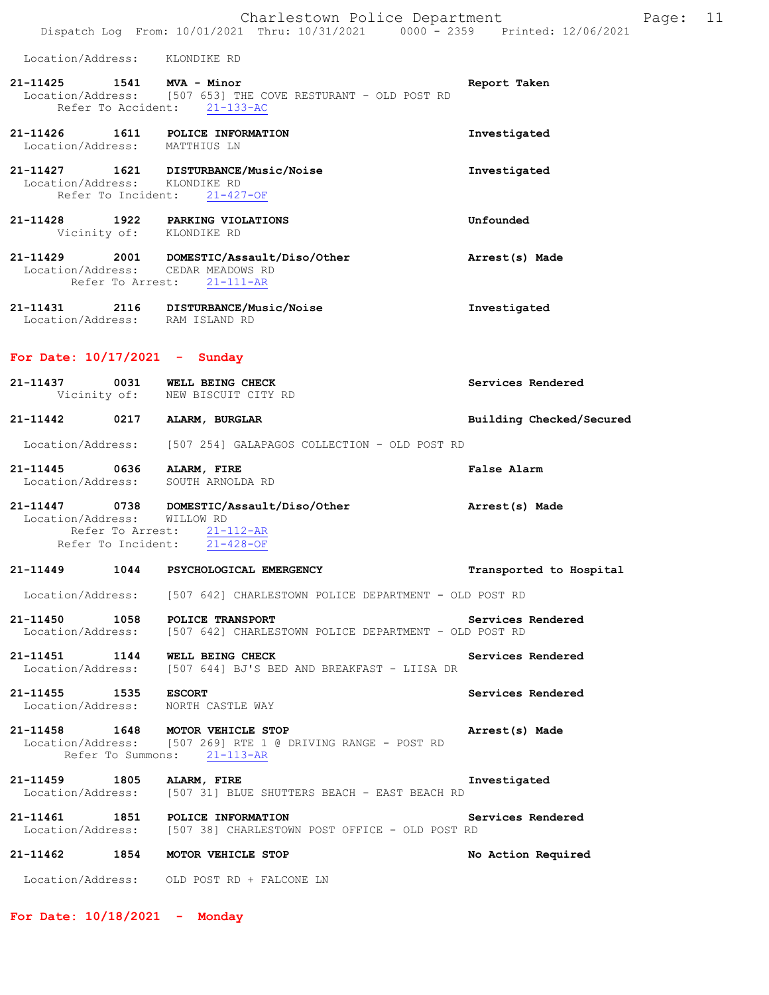Location/Address: KLONDIKE RD

### **21-11425 1541 MVA - Minor Report Taken**  Location/Address: [507 653] THE COVE RESTURANT - OLD POST RD Refer To Accident: 21-133-AC

**21-11426 1611 POLICE INFORMATION Investigated**  Location/Address: MATTHIUS LN **21-11427 1621 DISTURBANCE/Music/Noise Investigated**  Location/Address: KLONDIKE RD

Refer To Incident: 21-427-OF

- **21-11428 1922 PARKING VIOLATIONS Unfounded**  Vicinity of: KLONDIKE RD
- **21-11429 2001 DOMESTIC/Assault/Diso/Other Arrest(s) Made**  Location/Address: CEDAR MEADOWS RD Refer To Arrest: 21-111-AR
- **21-11431 2116 DISTURBANCE/Music/Noise Investigated**  Location/Address: RAM ISLAND RD

#### **For Date: 10/17/2021 - Sunday**

| 21-11437          | 0031<br>Vicinity of: | WELL BEING CHECK<br>NEW BISCUIT CITY RD      | Services Rendered |                          |
|-------------------|----------------------|----------------------------------------------|-------------------|--------------------------|
| 21-11442          | 0217                 | ALARM, BURGLAR                               |                   | Building Checked/Secured |
| Location/Address: |                      | [507 254] GALAPAGOS COLLECTION - OLD POST RD |                   |                          |

- **21-11445 0636 ALARM, FIRE False Alarm**  Location/Address: SOUTH ARNOLDA RD
- **21-11447 0738 DOMESTIC/Assault/Diso/Other Arrest(s) Made**  Location/Address: WILLOW RD Refer To Arrest:  $\frac{21-112-AR}{21-428-OF}$ Refer To Incident:

# **21-11449 1044 PSYCHOLOGICAL EMERGENCY Transported to Hospital**  Location/Address: [507 642] CHARLESTOWN POLICE DEPARTMENT - OLD POST RD

**21-11450 1058 POLICE TRANSPORT Services Rendered**  Location/Address: [507 642] CHARLESTOWN POLICE DEPARTMENT - OLD POST RD

**21-11451 1144 WELL BEING CHECK Services Rendered**  Location/Address: [507 644] BJ'S BED AND BREAKFAST - LIISA DR

**21-11455 1535 ESCORT Services Rendered**  Location/Address: NORTH CASTLE WAY

#### **21-11458 1648 MOTOR VEHICLE STOP Arrest(s) Made**  Location/Address: [507 269] RTE 1 @ DRIVING RANGE - POST RD Refer To Summons: 21-113-AR

**21-11459 1805 ALARM, FIRE Investigated**  Location/Address: [507 31] BLUE SHUTTERS BEACH - EAST BEACH RD

**21-11461 1851 POLICE INFORMATION Services Rendered**  Location/Address: [507 38] CHARLESTOWN POST OFFICE - OLD POST RD

### **21-11462 1854 MOTOR VEHICLE STOP No Action Required**

Location/Address: OLD POST RD + FALCONE LN

**For Date: 10/18/2021 - Monday**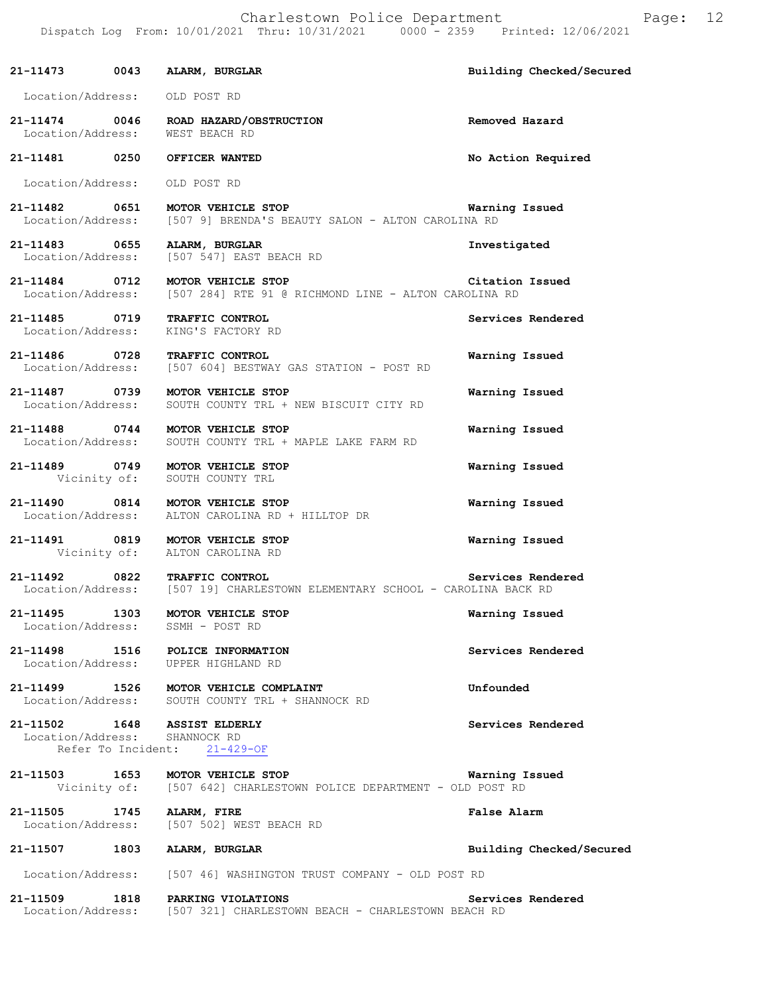| 21-11473 0043 ALARM, BURGLAR                                            |                                                                                                                                                                                                                                  | Building Checked/Secured |
|-------------------------------------------------------------------------|----------------------------------------------------------------------------------------------------------------------------------------------------------------------------------------------------------------------------------|--------------------------|
| Location/Address: OLD POST RD                                           |                                                                                                                                                                                                                                  |                          |
| Location/Address: WEST BEACH RD                                         | 21-11474 0046 ROAD HAZARD/OBSTRUCTION                                                                                                                                                                                            | Removed Hazard           |
| 21-11481 0250 OFFICER WANTED                                            |                                                                                                                                                                                                                                  | No Action Required       |
| Location/Address: OLD POST RD                                           |                                                                                                                                                                                                                                  |                          |
|                                                                         | 21-11482   0651   MOTOR VEHICLE STOP   Warni<br>Location/Address: [507 9] BRENDA'S BEAUTY SALON - ALTON CAROLINA RD                                                                                                              | Warning Issued           |
|                                                                         | 21-11483 0655 ALARM, BURGLAR<br>Location/Address: [507 547] EAST BEACH RD                                                                                                                                                        | Investigated             |
|                                                                         | 21-11484   0712   MOTOR VEHICLE STOP   Citation   Citation   Calculation   Calculation   Calculation   Calcula<br>Location   Calculation   Calculation   Calculation   Calculation   Calculation   Calculation   Calculation   C | Citation Issued          |
| 21-11485 0719 TRAFFIC CONTROL<br>Location/Address: KING'S FACTORY RD    |                                                                                                                                                                                                                                  | Services Rendered        |
| 21-11486 0728 TRAFFIC CONTROL                                           | Location/Address: [507 604] BESTWAY GAS STATION - POST RD                                                                                                                                                                        | Warning Issued           |
| 21-11487 0739 MOTOR VEHICLE STOP                                        | Location/Address: SOUTH COUNTY TRL + NEW BISCUIT CITY RD                                                                                                                                                                         | Warning Issued           |
| 21-11488 0744 MOTOR VEHICLE STOP                                        | Location/Address: SOUTH COUNTY TRL + MAPLE LAKE FARM RD                                                                                                                                                                          | Warning Issued           |
| 21-11489 0749 MOTOR VEHICLE STOP<br>Vicinity of: SOUTH COUNTY TRL       |                                                                                                                                                                                                                                  | Warning Issued           |
|                                                                         | 21-11490 0814 MOTOR VEHICLE STOP<br>Location/Address: ALTON CAROLINA RD + HILLTOP DR                                                                                                                                             | Warning Issued           |
| 21-11491 0819 MOTOR VEHICLE STOP<br>Vicinity of: ALTON CAROLINA RD      |                                                                                                                                                                                                                                  | Warning Issued           |
|                                                                         | 21-11492 0822 TRAFFIC CONTROL Services Rend<br>Location/Address: [507 19] CHARLESTOWN ELEMENTARY SCHOOL - CAROLINA BACK RD                                                                                                       | Services Rendered        |
| 21-11495 1303<br>Location/Address: SSMH - POST RD                       | MOTOR VEHICLE STOP                                                                                                                                                                                                               | Warning Issued           |
| 21-11498 1516 POLICE INFORMATION<br>Location/Address: UPPER HIGHLAND RD |                                                                                                                                                                                                                                  | Services Rendered        |
|                                                                         | 21-11499 1526 MOTOR VEHICLE COMPLAINT<br>Location/Address: SOUTH COUNTY TRL + SHANNOCK RD                                                                                                                                        | Unfounded                |
| 21-11502 1648 ASSIST ELDERLY<br>Location/Address: SHANNOCK RD           | Refer To Incident: 21-429-OF                                                                                                                                                                                                     | Services Rendered        |
|                                                                         | 21-11503 1653 MOTOR VEHICLE STOP<br>Vicinity of: [507 642] CHARLESTOWN POLICE DEPARTMENT - OLD POST RD                                                                                                                           | Warning Issued           |
| 21-11505 1745 ALARM, FIRE                                               | Location/Address: [507 502] WEST BEACH RD                                                                                                                                                                                        | False Alarm              |
| 21-11507 1803 ALARM, BURGLAR                                            |                                                                                                                                                                                                                                  | Building Checked/Secured |
|                                                                         | Location/Address: [507 46] WASHINGTON TRUST COMPANY - OLD POST RD                                                                                                                                                                |                          |
| 21-11509 1818 PARKING VIOLATIONS                                        | Location/Address: [507 321] CHARLESTOWN BEACH - CHARLESTOWN BEACH RD                                                                                                                                                             | Services Rendered        |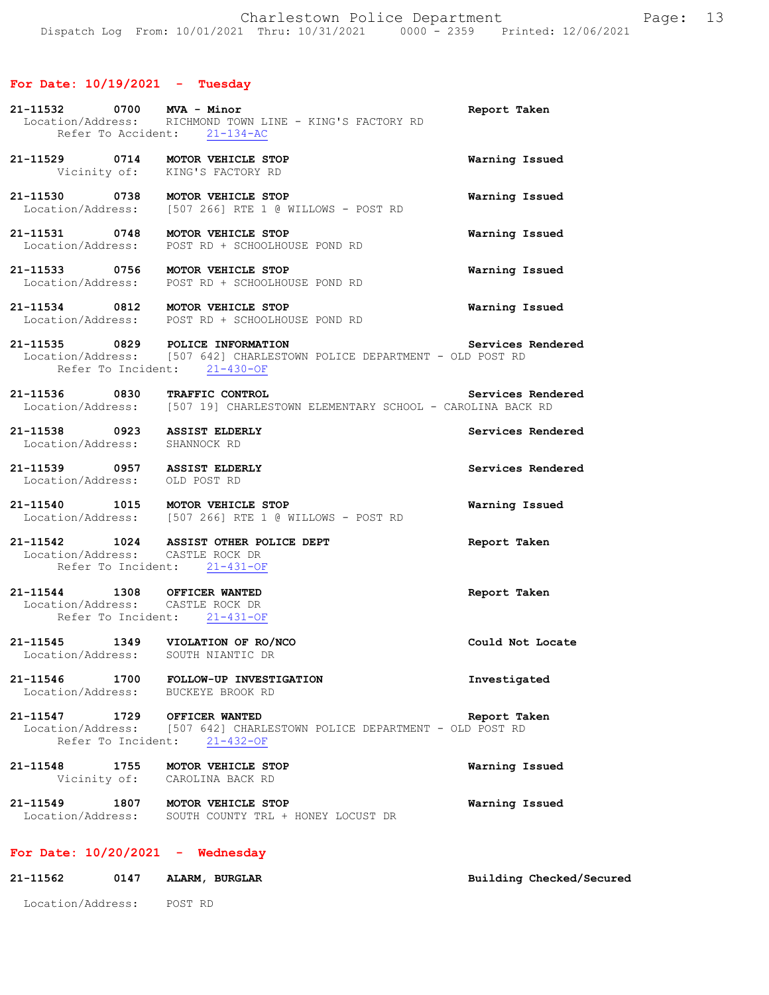# **For Date: 10/19/2021 - Tuesday**

| 21-11532 0700 MVA - Minor                                        | Location/Address: RICHMOND TOWN LINE - KING'S FACTORY RD<br>Refer To Accident: 21-134-AC                | Report Taken             |
|------------------------------------------------------------------|---------------------------------------------------------------------------------------------------------|--------------------------|
| 21-11529 0714 MOTOR VEHICLE STOP                                 | Vicinity of: KING'S FACTORY RD                                                                          | Warning Issued           |
| 21-11530 0738 MOTOR VEHICLE STOP                                 | Location/Address: [507 266] RTE 1 @ WILLOWS - POST RD                                                   | Warning Issued           |
| 21-11531 0748 MOTOR VEHICLE STOP                                 | Location/Address: POST RD + SCHOOLHOUSE POND RD                                                         | Warning Issued           |
| 21-11533 0756 MOTOR VEHICLE STOP                                 | Location/Address: POST RD + SCHOOLHOUSE POND RD                                                         | Warning Issued           |
| 21-11534 0812 MOTOR VEHICLE STOP                                 | Location/Address: POST RD + SCHOOLHOUSE POND RD                                                         | Warning Issued           |
| 21-11535 0829 POLICE INFORMATION                                 | Location/Address: [507 642] CHARLESTOWN POLICE DEPARTMENT - OLD POST RD<br>Refer To Incident: 21-430-OF | Services Rendered        |
| 21-11536 0830                                                    | TRAFFIC CONTROL<br>Location/Address: [507 19] CHARLESTOWN ELEMENTARY SCHOOL - CAROLINA BACK RD          | Services Rendered        |
| 21-11538 0923 ASSIST ELDERLY<br>Location/Address: SHANNOCK RD    |                                                                                                         | Services Rendered        |
| 21-11539 0957 ASSIST ELDERLY<br>Location/Address: OLD POST RD    |                                                                                                         | Services Rendered        |
| 21-11540 1015 MOTOR VEHICLE STOP                                 | Location/Address: [507 266] RTE 1 @ WILLOWS - POST RD                                                   | Warning Issued           |
| Location/Address: CASTLE ROCK DR                                 | 21-11542 1024 ASSIST OTHER POLICE DEPT<br>Refer To Incident: 21-431-OF                                  | Report Taken             |
| 21-11544 1308 OFFICER WANTED<br>Location/Address: CASTLE ROCK DR | Refer To Incident: 21-431-OF                                                                            | Report Taken             |
| 21-11545 1349 VIOLATION OF RO/NCO<br>Location/Address:           | SOUTH NIANTIC DR                                                                                        | Could Not Locate         |
| Location/Address: BUCKEYE BROOK RD                               | 21-11546 1700 FOLLOW-UP INVESTIGATION                                                                   | Investigated             |
| 21-11547 1729 OFFICER WANTED                                     | Location/Address: [507 642] CHARLESTOWN POLICE DEPARTMENT - OLD POST RD<br>Refer To Incident: 21-432-OF | Report Taken             |
| 21-11548 1755 MOTOR VEHICLE STOP                                 | Vicinity of: CAROLINA BACK RD                                                                           | Warning Issued           |
| 21-11549 1807 MOTOR VEHICLE STOP<br>Location/Address:            | SOUTH COUNTY TRL + HONEY LOCUST DR                                                                      | Warning Issued           |
| For Date: $10/20/2021$ - Wednesday                               |                                                                                                         |                          |
| 0147<br>21-11562                                                 | ALARM, BURGLAR                                                                                          | Building Checked/Secured |
| Location/Address: POST RD                                        |                                                                                                         |                          |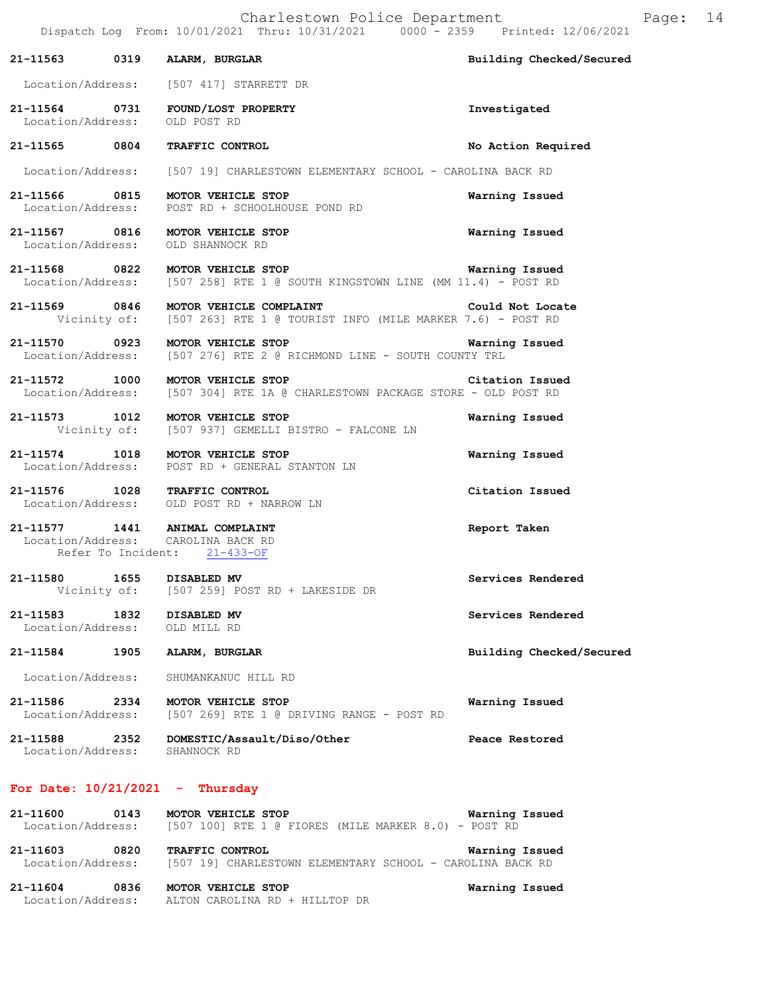|                                    |      | 21-11563 0319 ALARM, BURGLAR                                                                                     | Building Checked/Secured |
|------------------------------------|------|------------------------------------------------------------------------------------------------------------------|--------------------------|
|                                    |      | Location/Address: [507 417] STARRETT DR                                                                          |                          |
| 21-11564 0731<br>Location/Address: |      | FOUND/LOST PROPERTY<br>OLD POST RD                                                                               | Investigated             |
|                                    |      | 21-11565 0804 TRAFFIC CONTROL                                                                                    | No Action Required       |
|                                    |      | Location/Address: [507 19] CHARLESTOWN ELEMENTARY SCHOOL - CAROLINA BACK RD                                      |                          |
| 21-11566 0815<br>Location/Address: |      | MOTOR VEHICLE STOP<br>POST RD + SCHOOLHOUSE POND RD                                                              | Warning Issued           |
| 21-11567 0816                      |      | MOTOR VEHICLE STOP<br>Location/Address: OLD SHANNOCK RD                                                          | Warning Issued           |
|                                    |      | 21-11568 0822 MOTOR VEHICLE STOP<br>Location/Address: [507 258] RTE 1 @ SOUTH KINGSTOWN LINE (MM 11.4) - POST RD | Warning Issued           |
|                                    |      | 21-11569 0846 MOTOR VEHICLE COMPLAINT<br>Vicinity of: [507 263] RTE 1 @ TOURIST INFO (MILE MARKER 7.6) - POST RD | Could Not Locate         |
|                                    |      | 21-11570 0923 MOTOR VEHICLE STOP<br>Location/Address: [507 276] RTE 2 @ RICHMOND LINE - SOUTH COUNTY TRL         | Warning Issued           |
| 21-11572 1000                      |      | MOTOR VEHICLE STOP<br>Location/Address: [507 304] RTE 1A @ CHARLESTOWN PACKAGE STORE - OLD POST RD               | Citation Issued          |
| 21-11573 1012                      |      | MOTOR VEHICLE STOP<br>Vicinity of: [507 937] GEMELLI BISTRO - FALCONE LN                                         | Warning Issued           |
|                                    |      | 21-11574 1018 MOTOR VEHICLE STOP<br>Location/Address: POST RD + GENERAL STANTON LN                               | Warning Issued           |
|                                    |      | 21-11576 1028 TRAFFIC CONTROL<br>Location/Address: OLD POST RD + NARROW LN                                       | Citation Issued          |
|                                    |      | 21-11577 1441 ANIMAL COMPLAINT<br>Location/Address: CAROLINA BACK RD<br>Refer To Incident: 21-433-OF             | Report Taken             |
| 21-11580 1655 DISABLED MV          |      | Vicinity of: [507 259] POST RD + LAKESIDE DR                                                                     | Services Rendered        |
| 21-11583<br>Location/Address:      | 1832 | DISABLED MV<br>OLD MILL RD                                                                                       | Services Rendered        |
| 21-11584                           | 1905 | ALARM, BURGLAR                                                                                                   | Building Checked/Secured |
| Location/Address:                  |      | SHUMANKANUC HILL RD                                                                                              |                          |
| 21-11586 2334<br>Location/Address: |      | MOTOR VEHICLE STOP<br>[507 269] RTE 1 @ DRIVING RANGE - POST RD                                                  | Warning Issued           |
| 21-11588<br>Location/Address:      | 2352 | DOMESTIC/Assault/Diso/Other<br>SHANNOCK RD                                                                       | Peace Restored           |
| For Date: $10/21/2021$ - Thursday  |      |                                                                                                                  |                          |
| 21-11600<br>Location/Address:      | 0143 | MOTOR VEHICLE STOP<br>$[507 100]$ RTE 1 @ FIORES (MILE MARKER 8.0) - POST RD                                     | Warning Issued           |
| 21-11603 0820<br>Location/Address: |      | TRAFFIC CONTROL<br>[507 19] CHARLESTOWN ELEMENTARY SCHOOL - CAROLINA BACK RD                                     | Warning Issued           |

**21-11604 0836 MOTOR VEHICLE STOP Warning Issued**  Location/Address: ALTON CAROLINA RD + HILLTOP DR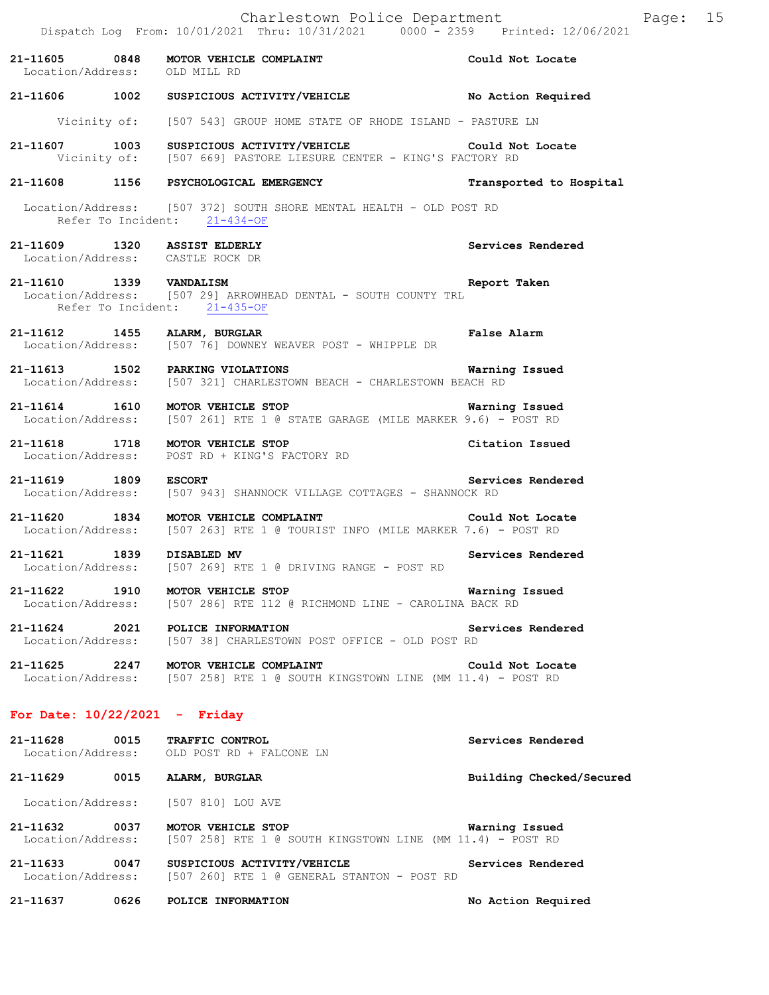**21-11605 0848 MOTOR VEHICLE COMPLAINT Could Not Locate**  Location/Address: OLD MILL RD **21-11606 1002 SUSPICIOUS ACTIVITY/VEHICLE No Action Required**  Vicinity of: [507 543] GROUP HOME STATE OF RHODE ISLAND - PASTURE LN **21-11607 1003 SUSPICIOUS ACTIVITY/VEHICLE Could Not Locate**  Vicinity of: [507 669] PASTORE LIESURE CENTER - KING'S FACTORY RD **21-11608 1156 PSYCHOLOGICAL EMERGENCY Transported to Hospital**  Location/Address: [507 372] SOUTH SHORE MENTAL HEALTH - OLD POST RD Refer To Incident: 21-434-OF **21-11609 1320 ASSIST ELDERLY Services Rendered**  Location/Address: CASTLE ROCK DR **21-11610 1339 VANDALISM Report Taken**  Location/Address: [507 29] ARROWHEAD DENTAL - SOUTH COUNTY TRL Refer To Incident: 21-435-OF 21-11612 1455 ALARM, BURGLAR FALSE POST - WHIPPLE DR<br>Location/Address: [507 76] DOWNEY WEAVER POST - WHIPPLE DR [507 76] DOWNEY WEAVER POST - WHIPPLE DR **21-11613 1502 PARKING VIOLATIONS Warning Issued**  Location/Address: [507 321] CHARLESTOWN BEACH - CHARLESTOWN BEACH RD **21-11614 1610 MOTOR VEHICLE STOP Warning Issued**  Location/Address: [507 261] RTE 1 @ STATE GARAGE (MILE MARKER 9.6) - POST RD **21-11618 1718 MOTOR VEHICLE STOP Citation Issued**  Location/Address: POST RD + KING'S FACTORY RD **21-11619 1809 ESCORT Services Rendered**  Location/Address: [507 943] SHANNOCK VILLAGE COTTAGES - SHANNOCK RD **21-11620 1834 MOTOR VEHICLE COMPLAINT Could Not Locate** Location/Address: [507 263] RTE 1 @ TOURIST INFO (MILE MARKER 7.6) - POST RD [507 263] RTE 1 @ TOURIST INFO (MILE MARKER 7.6) - POST RD **21-11621 1839 DISABLED MV Services Rendered**  Location/Address: [507 269] RTE 1 @ DRIVING RANGE - POST RD **21-11622 1910 MOTOR VEHICLE STOP Warning Issued**  Location/Address: [507 286] RTE 112 @ RICHMOND LINE - CAROLINA BACK RD **21-11624 2021 POLICE INFORMATION Services Rendered**  [507 38] CHARLESTOWN POST OFFICE - OLD POST RD **21-11625 2247 MOTOR VEHICLE COMPLAINT Could Not Locate**  Location/Address: [507 258] RTE 1 @ SOUTH KINGSTOWN LINE (MM 11.4) - POST RD **For Date: 10/22/2021 - Friday 21-11628 0015 TRAFFIC CONTROL Services Rendered**  Location/Address: OLD POST RD + FALCONE LN **21-11629 0015 ALARM, BURGLAR Building Checked/Secured**  Location/Address: [507 810] LOU AVE **21-11632 0037 MOTOR VEHICLE STOP Warning Issued**  Location/Address: [507 258] RTE 1 @ SOUTH KINGSTOWN LINE (MM 11.4) - POST RD

**21-11633 0047 SUSPICIOUS ACTIVITY/VEHICLE Services Rendered**  Location/Address: [507 260] RTE 1 @ GENERAL STANTON - POST RD

**21-11637 0626 POLICE INFORMATION No Action Required**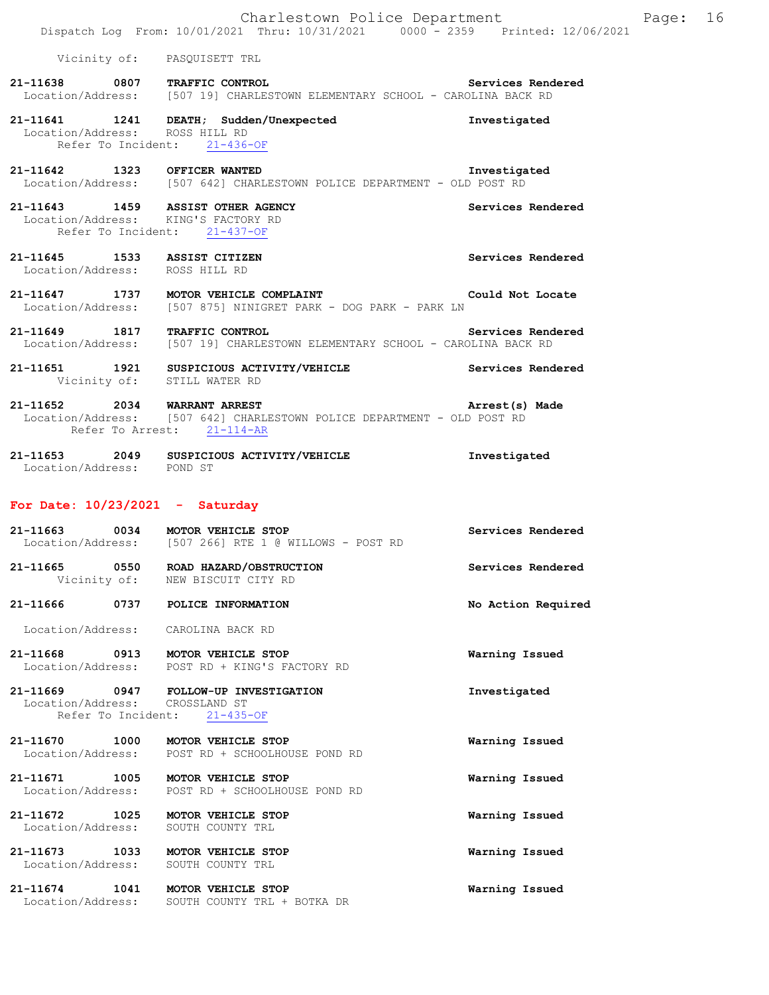|                                                                                                              |                              | Charlestown Police Department |  | Dispatch Log From: 10/01/2021 Thru: 10/31/2021 0000 - 2359 Printed: 12/06/2021 | Page: | 16 |
|--------------------------------------------------------------------------------------------------------------|------------------------------|-------------------------------|--|--------------------------------------------------------------------------------|-------|----|
|                                                                                                              | Vicinity of: PASOUISETT TRL  |                               |  |                                                                                |       |    |
| 21-11638 0807 TRAFFIC CONTROL<br>Location/Address: [507 19] CHARLESTOWN ELEMENTARY SCHOOL - CAROLINA BACK RD |                              |                               |  | Services Rendered                                                              |       |    |
| 21-11641 1241 DEATH; Sudden/Unexpected<br>Location/Address: ROSS HILL RD                                     | Refer To Incident: 21-436-OF |                               |  | Investigated                                                                   |       |    |
| 21-11642<br>Location/Address: [507 642] CHARLESTOWN POLICE DEPARTMENT - OLD POST RD                          | 1323 OFFICER WANTED          |                               |  | Investigated                                                                   |       |    |
| 21-11643 1459 ASSIST OTHER AGENCY<br>Location/Address: KING'S FACTORY RD                                     | Refer To Incident: 21-437-OF |                               |  | Services Rendered                                                              |       |    |

- **21-11645 1533 ASSIST CITIZEN Services Rendered**  Location/Address: ROSS HILL RD
- **21-11647 1737 MOTOR VEHICLE COMPLAINT Could Not Locate**  Location/Address: [507 875] NINIGRET PARK - DOG PARK - PARK LN
- **21-11649 1817 TRAFFIC CONTROL Services Rendered**  Location/Address: [507 19] CHARLESTOWN ELEMENTARY SCHOOL - CAROLINA BACK RD
- **21-11651 1921 SUSPICIOUS ACTIVITY/VEHICLE Services Rendered**  Vicinity of: STILL WATER RD

**21-11652 2034 WARRANT ARREST Arrest(s) Made**  Location/Address: [507 642] CHARLESTOWN POLICE DEPARTMENT - OLD POST RD Refer To Arrest: 21-114-AR

**21-11653 2049 SUSPICIOUS ACTIVITY/VEHICLE Investigated**  Location/Address: POND ST

## **For Date: 10/23/2021 - Saturday**

Location/Address: SOUTH COUNTY TRL + BOTKA DR

| 21-11663 0034 MOTOR VEHICLE STOP   | Location/Address: [507 266] RTE 1 @ WILLOWS - POST RD                     | Services Rendered  |
|------------------------------------|---------------------------------------------------------------------------|--------------------|
|                                    | 21-11665 0550 ROAD HAZARD/OBSTRUCTION<br>Vicinity of: NEW BISCUIT CITY RD | Services Rendered  |
| 21-11666 0737                      | POLICE INFORMATION                                                        | No Action Required |
| Location/Address: CAROLINA BACK RD |                                                                           |                    |
| 21-11668 0913 MOTOR VEHICLE STOP   | Location/Address: POST RD + KING'S FACTORY RD                             | Warning Issued     |
| Location/Address: CROSSLAND ST     | 21-11669 0947 FOLLOW-UP INVESTIGATION<br>Refer To Incident: 21-435-OF     | Investigated       |
| 21-11670 1000 MOTOR VEHICLE STOP   | Location/Address: POST RD + SCHOOLHOUSE POND RD                           | Warning Issued     |
| 21-11671 1005 MOTOR VEHICLE STOP   | Location/Address: POST RD + SCHOOLHOUSE POND RD                           | Warning Issued     |
| 21-11672 1025<br>Location/Address: | MOTOR VEHICLE STOP<br>SOUTH COUNTY TRL                                    | Warning Issued     |
| 21-11673 1033<br>Location/Address: | MOTOR VEHICLE STOP<br>SOUTH COUNTY TRL                                    | Warning Issued     |
| 21-11674 1041                      | MOTOR VEHICLE STOP                                                        | Warning Issued     |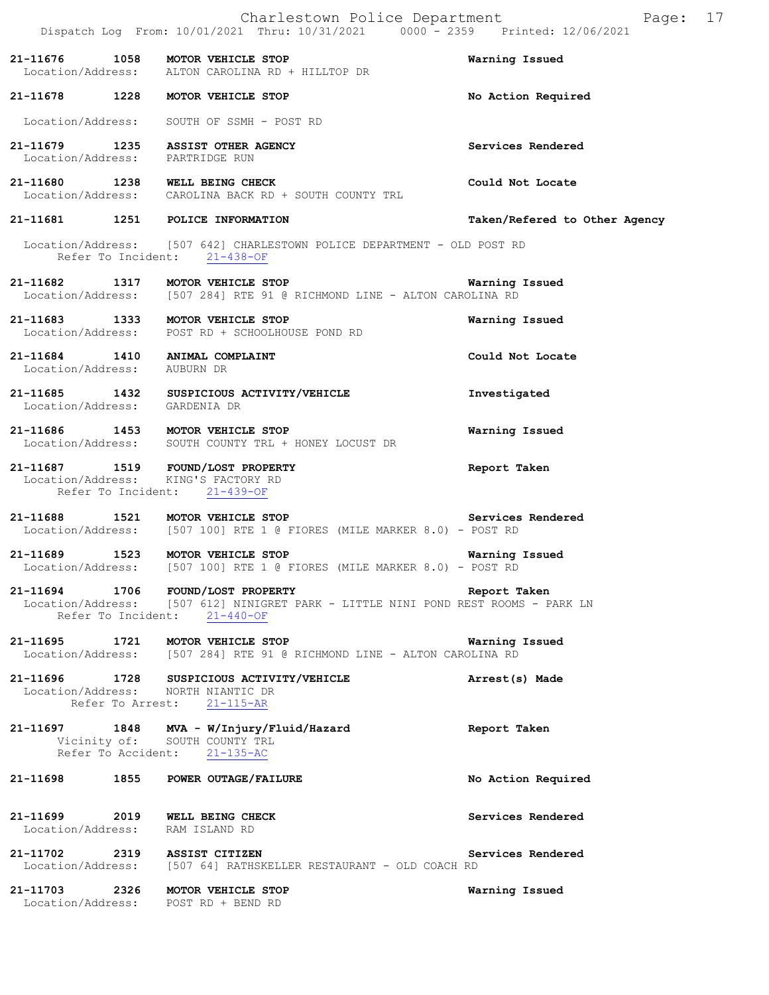|                                 | Charlestown Police Department<br>Dispatch Log From: 10/01/2021 Thru: 10/31/2021 0000 - 2359 Printed: 12/06/2021                                        | Page: 17                      |  |
|---------------------------------|--------------------------------------------------------------------------------------------------------------------------------------------------------|-------------------------------|--|
|                                 | 21-11676 1058 MOTOR VEHICLE STOP<br>Location/Address: ALTON CAROLINA RD + HILLTOP DR                                                                   | Warning Issued                |  |
|                                 | 21-11678 1228 MOTOR VEHICLE STOP                                                                                                                       | No Action Required            |  |
|                                 | Location/Address: SOUTH OF SSMH - POST RD                                                                                                              |                               |  |
| Location/Address: PARTRIDGE RUN | 21-11679 1235 ASSIST OTHER AGENCY                                                                                                                      | Services Rendered             |  |
|                                 | 21-11680 1238 WELL BEING CHECK<br>Location/Address: CAROLINA BACK RD + SOUTH COUNTY TRL                                                                | Could Not Locate              |  |
|                                 | 21-11681 1251 POLICE INFORMATION                                                                                                                       | Taken/Refered to Other Agency |  |
|                                 | Location/Address: [507 642] CHARLESTOWN POLICE DEPARTMENT - OLD POST RD<br>Refer To Incident: 21-438-OF                                                |                               |  |
|                                 | Location/Address: [507 284] RTE 91 @ RICHMOND LINE - ALTON CAROLINA RD                                                                                 |                               |  |
|                                 | 21-11683 1333 MOTOR VEHICLE STOP<br>Location/Address: POST RD + SCHOOLHOUSE POND RD                                                                    | Warning Issued                |  |
| Location/Address: AUBURN DR     | 21-11684 1410 ANIMAL COMPLAINT                                                                                                                         | Could Not Locate              |  |
| Location/Address: GARDENIA DR   | 21-11685 1432 SUSPICIOUS ACTIVITY/VEHICLE                                                                                                              | Investigated                  |  |
|                                 | 21-11686 1453 MOTOR VEHICLE STOP<br>Location/Address: SOUTH COUNTY TRL + HONEY LOCUST DR                                                               | Warning Issued                |  |
|                                 | 21-11687 1519 FOUND/LOST PROPERTY<br>Location/Address: KING'S FACTORY RD<br>Refer To Incident: 21-439-OF                                               | Report Taken                  |  |
|                                 | 21-11688 1521 MOTOR VEHICLE STOP Services Rendered<br>Location/Address: [507 100] RTE 1 @ FIORES (MILE MARKER 8.0) - POST RD                           |                               |  |
|                                 | 21-11689 1523 MOTOR VEHICLE STOP<br>Location/Address: [507 100] RTE 1 @ FIORES (MILE MARKER 8.0) - POST RD                                             | Warning Issued                |  |
|                                 | 21-11694 1706 FOUND/LOST PROPERTY<br>Location/Address: [507 612] NINIGRET PARK - LITTLE NINI POND REST ROOMS - PARK LN<br>Refer To Incident: 21-440-OF | Report Taken                  |  |
|                                 | 21-11695 1721 MOTOR VEHICLE STOP Warning<br>Location/Address: [507 284] RTE 91 @ RICHMOND LINE - ALTON CAROLINA RD                                     | Warning Issued                |  |
|                                 | 21-11696 1728 SUSPICIOUS ACTIVITY/VEHICLE<br>Location/Address: NORTH NIANTIC DR<br>Refer To Arrest: 21-115-AR                                          | Arrest(s) Made                |  |
|                                 | 21-11697 1848 MVA - W/Injury/Fluid/Hazard<br>Vicinity of: SOUTH COUNTY TRL<br>Refer To Accident: 21-135-AC                                             | Report Taken                  |  |
|                                 | 21-11698 1855 POWER OUTAGE/FAILURE                                                                                                                     | No Action Required            |  |
| Location/Address: RAM ISLAND RD | 21-11699 2019 WELL BEING CHECK                                                                                                                         | Services Rendered             |  |
|                                 | 21-11702 2319 ASSIST CITIZEN<br>Location/Address: [507 64] RATHSKELLER RESTAURANT - OLD COACH RD                                                       | Services Rendered             |  |
|                                 | 21-11703 2326 MOTOR VEHICLE STOP<br>Location/Address: POST RD + BEND RD                                                                                | Warning Issued                |  |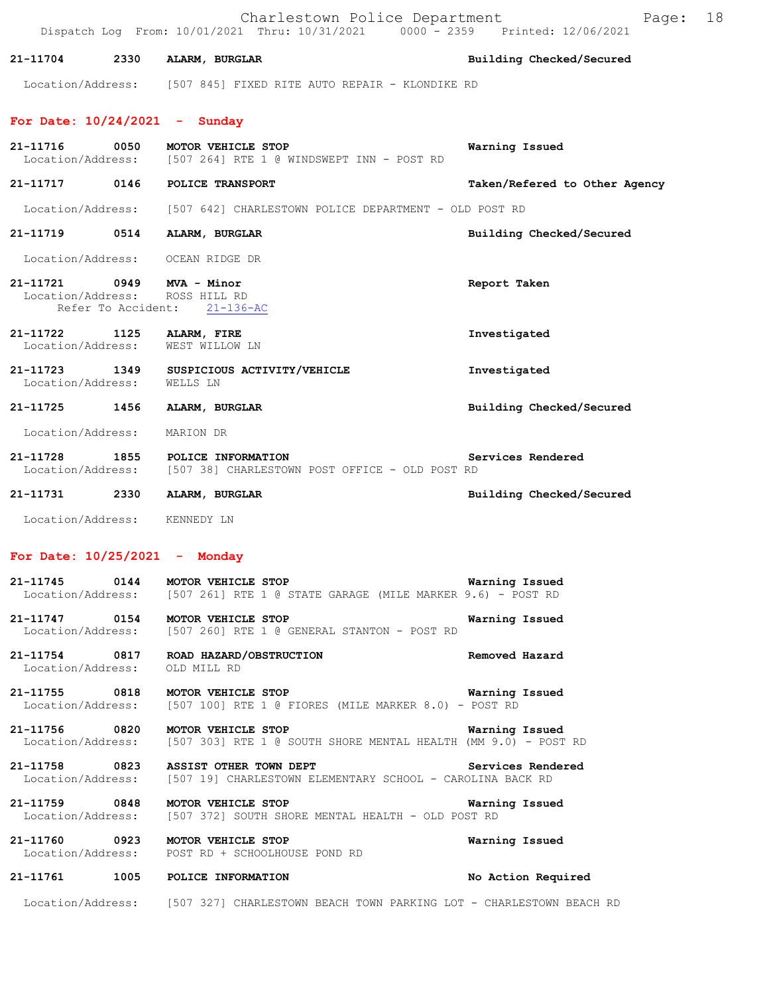|                                    |                    | Charlestown Police Department<br>Dispatch Log From: 10/01/2021 Thru: 10/31/2021 0000 - 2359 Printed: 12/06/2021 | Page:                         | 18 |
|------------------------------------|--------------------|-----------------------------------------------------------------------------------------------------------------|-------------------------------|----|
| 21-11704                           | 2330               | ALARM, BURGLAR                                                                                                  | Building Checked/Secured      |    |
|                                    |                    | Location/Address: [507 845] FIXED RITE AUTO REPAIR - KLONDIKE RD                                                |                               |    |
|                                    |                    | For Date: $10/24/2021$ - Sunday                                                                                 |                               |    |
| 21-11716<br>Location/Address:      | 0050               | MOTOR VEHICLE STOP<br>[507 264] RTE 1 @ WINDSWEPT INN - POST RD                                                 | Warning Issued                |    |
| 21-11717 0146                      |                    | POLICE TRANSPORT                                                                                                | Taken/Refered to Other Agency |    |
|                                    |                    | Location/Address: [507 642] CHARLESTOWN POLICE DEPARTMENT - OLD POST RD                                         |                               |    |
| 21-11719                           | 0514               | ALARM, BURGLAR                                                                                                  | Building Checked/Secured      |    |
| Location/Address:                  |                    | OCEAN RIDGE DR                                                                                                  |                               |    |
|                                    | Refer To Accident: | 21-11721 0949 MVA - Minor<br>Location/Address: ROSS HILL RD<br>$21 - 136 - AC$                                  | Report Taken                  |    |
| 21-11722<br>Location/Address:      | 1125               | ALARM, FIRE<br>WEST WILLOW LN                                                                                   | Investigated                  |    |
| 21-11723 1349<br>Location/Address: |                    | SUSPICIOUS ACTIVITY/VEHICLE<br>WELLS LN                                                                         | Investigated                  |    |
| 21-11725 1456                      |                    | ALARM, BURGLAR                                                                                                  | Building Checked/Secured      |    |
| Location/Address:                  |                    | MARION DR                                                                                                       |                               |    |
| 21-11728<br>Location/Address:      | 1855               | POLICE INFORMATION<br>[507 38] CHARLESTOWN POST OFFICE - OLD POST RD                                            | Services Rendered             |    |
| 21-11731 2330                      |                    | ALARM, BURGLAR                                                                                                  | Building Checked/Secured      |    |
|                                    |                    | Location/Address: KENNEDY LN                                                                                    |                               |    |
|                                    |                    | For Date: $10/25/2021$ - Monday                                                                                 |                               |    |
| 21-11745 0144                      |                    | MOTOR VEHICLE STOP<br>Location/Address: [507 261] RTE 1 @ STATE GARAGE (MILE MARKER 9.6) - POST RD              | Warning Issued                |    |
|                                    |                    | 21-11747 0154 MOTOR VEHICLE STOP<br>Location/Address: [507 260] RTE 1 @ GENERAL STANTON - POST RD               | Warning Issued                |    |
| Location/Address:                  |                    | 21-11754 0817 ROAD HAZARD/OBSTRUCTION<br>OLD MILL RD                                                            | Removed Hazard                |    |
|                                    |                    | 21-11755 0818 MOTOR VEHICLE STOP<br>Location/Address: [507 100] RTE 1 @ FIORES (MILE MARKER 8.0) - POST RD      | Warning Issued                |    |
| 21-11756 0820<br>Location/Address: |                    | MOTOR VEHICLE STOP<br>[507 303] RTE 1 @ SOUTH SHORE MENTAL HEALTH (MM 9.0) - POST RD                            | Warning Issued                |    |
| 21-11758 0823                      |                    | ASSIST OTHER TOWN DEPT<br>Location/Address: [507 19] CHARLESTOWN ELEMENTARY SCHOOL - CAROLINA BACK RD           | Services Rendered             |    |
| Location/Address:                  |                    | 21-11759 0848 MOTOR VEHICLE STOP<br>[507 372] SOUTH SHORE MENTAL HEALTH - OLD POST RD                           | Warning Issued                |    |
|                                    |                    | 21-11760 0923 MOTOR VEHICLE STOP<br>Location/Address: POST RD + SCHOOLHOUSE POND RD                             | Warning Issued                |    |
|                                    |                    | 21-11761 1005 POLICE INFORMATION                                                                                | No Action Required            |    |
|                                    |                    | Location/Address: [507 327] CHARLESTOWN BEACH TOWN PARKING LOT - CHARLESTOWN BEACH RD                           |                               |    |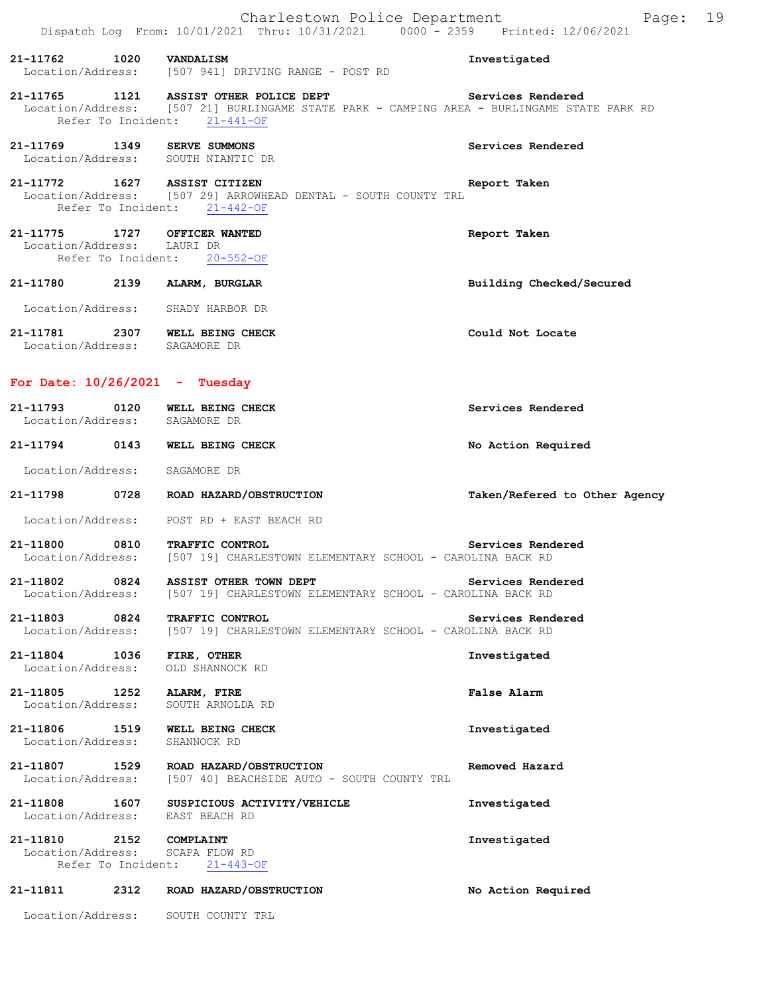|                                    |      | Charlestown Police Department<br>Dispatch Log From: 10/01/2021 Thru: 10/31/2021 0000 <sup>-</sup> 2359 Printed: 12/06/2021                                           | 19<br>Page:                   |
|------------------------------------|------|----------------------------------------------------------------------------------------------------------------------------------------------------------------------|-------------------------------|
| 21-11762 1020 VANDALISM            |      | Location/Address: [507 941] DRIVING RANGE - POST RD                                                                                                                  | Investigated                  |
|                                    |      | 21-11765 1121 ASSIST OTHER POLICE DEPT<br>Location/Address: [507 21] BURLINGAME STATE PARK - CAMPING AREA - BURLINGAME STATE PARK RD<br>Refer To Incident: 21-441-OF | Services Rendered             |
|                                    |      | 21-11769 1349 SERVE SUMMONS<br>Location/Address: SOUTH NIANTIC DR                                                                                                    | Services Rendered             |
|                                    |      | 21-11772 1627 ASSIST CITIZEN<br>Location/Address: [507 29] ARROWHEAD DENTAL - SOUTH COUNTY TRL<br>Refer To Incident: 21-442-OF                                       | Report Taken                  |
| Location/Address: LAURI DR         |      | 21-11775 1727 OFFICER WANTED<br>Refer To Incident: 20-552-OF                                                                                                         | Report Taken                  |
|                                    |      | 21-11780 2139 ALARM, BURGLAR                                                                                                                                         | Building Checked/Secured      |
|                                    |      | Location/Address: SHADY HARBOR DR                                                                                                                                    |                               |
|                                    |      | 21-11781 2307 WELL BEING CHECK<br>Location/Address: SAGAMORE DR                                                                                                      | Could Not Locate              |
|                                    |      | For Date: $10/26/2021$ - Tuesday                                                                                                                                     |                               |
|                                    |      | 21-11793 0120 WELL BEING CHECK<br>Location/Address: SAGAMORE DR                                                                                                      | Services Rendered             |
|                                    |      | 21-11794 0143 WELL BEING CHECK                                                                                                                                       | No Action Required            |
|                                    |      | Location/Address: SAGAMORE DR                                                                                                                                        |                               |
| 21-11798                           |      | 0728 ROAD HAZARD/OBSTRUCTION                                                                                                                                         | Taken/Refered to Other Agency |
|                                    |      | Location/Address: POST RD + EAST BEACH RD                                                                                                                            |                               |
|                                    |      | 21-11800 0810 TRAFFIC CONTROL<br>Location/Address: [507 19] CHARLESTOWN ELEMENTARY SCHOOL - CAROLINA BACK RD                                                         | Services Rendered             |
| 21-11802<br>Location/Address:      | 0824 | ASSIST OTHER TOWN DEPT<br>[507 19] CHARLESTOWN ELEMENTARY SCHOOL - CAROLINA BACK RD                                                                                  | Services Rendered             |
| 21-11803 0824                      |      | TRAFFIC CONTROL<br>Location/Address: [507 19] CHARLESTOWN ELEMENTARY SCHOOL - CAROLINA BACK RD                                                                       | Services Rendered             |
| 21-11804 1036<br>Location/Address: |      | FIRE, OTHER<br>OLD SHANNOCK RD                                                                                                                                       | Investigated                  |
| 21-11805 1252<br>Location/Address: |      | ALARM, FIRE<br>SOUTH ARNOLDA RD                                                                                                                                      | False Alarm                   |
| 21-11806 1519<br>Location/Address: |      | WELL BEING CHECK<br>SHANNOCK RD                                                                                                                                      | Investigated                  |
|                                    |      | 21-11807 1529 ROAD HAZARD/OBSTRUCTION<br>Location/Address: [507 40] BEACHSIDE AUTO - SOUTH COUNTY TRL                                                                | Removed Hazard                |
| 21-11808 1607                      |      | SUSPICIOUS ACTIVITY/VEHICLE<br>Location/Address: EAST BEACH RD                                                                                                       | Investigated                  |
| 21-11810 2152 COMPLAINT            |      | Location/Address: SCAPA FLOW RD<br>Refer To Incident: 21-443-OF                                                                                                      | Investigated                  |
| 21-11811                           |      | 2312 ROAD HAZARD/OBSTRUCTION                                                                                                                                         | No Action Required            |
|                                    |      | Location/Address: SOUTH COUNTY TRL                                                                                                                                   |                               |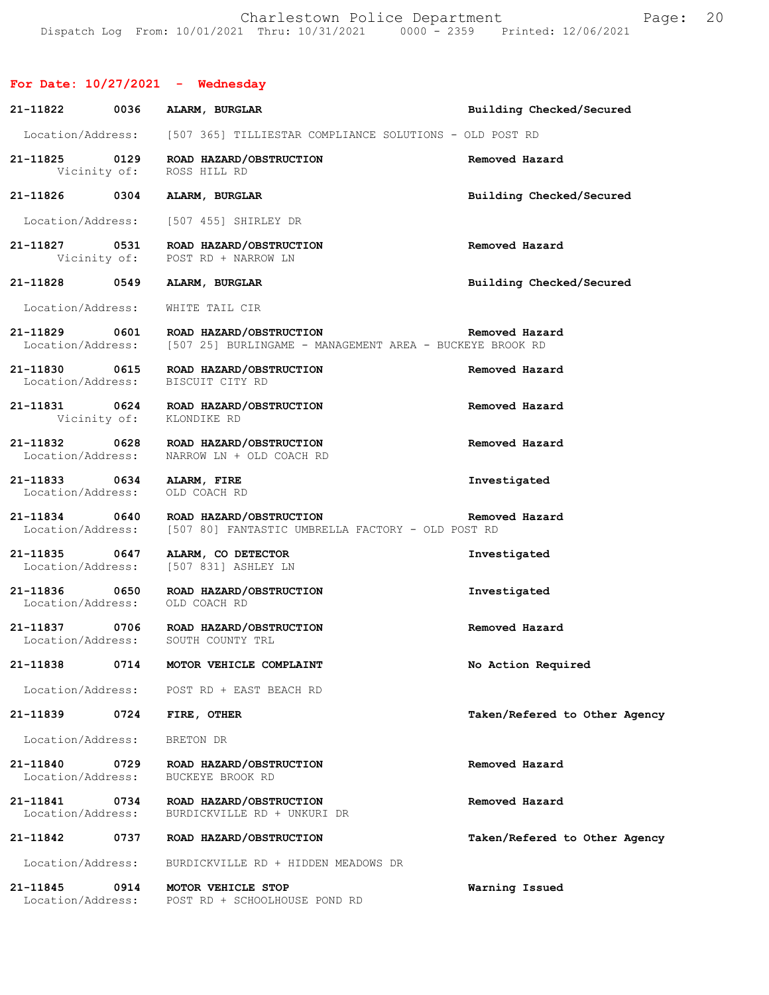# **For Date: 10/27/2021 - Wednesday**

| 21-11822                                       | 0036 | ALARM, BURGLAR                                                                      | Building Checked/Secured      |
|------------------------------------------------|------|-------------------------------------------------------------------------------------|-------------------------------|
|                                                |      | Location/Address: [507 365] TILLIESTAR COMPLIANCE SOLUTIONS - OLD POST RD           |                               |
| 21-11825 0129<br>Vicinity of:                  |      | ROAD HAZARD/OBSTRUCTION<br>ROSS HILL RD                                             | Removed Hazard                |
| 21-11826 0304                                  |      | ALARM, BURGLAR                                                                      | Building Checked/Secured      |
|                                                |      | Location/Address: [507 455] SHIRLEY DR                                              |                               |
| 21-11827 0531                                  |      | ROAD HAZARD/OBSTRUCTION<br>Vicinity of: POST RD + NARROW LN                         | Removed Hazard                |
| 21-11828                                       | 0549 | ALARM, BURGLAR                                                                      | Building Checked/Secured      |
| Location/Address:                              |      | WHITE TAIL CIR                                                                      |                               |
| 21-11829 0601<br>Location/Address:             |      | ROAD HAZARD/OBSTRUCTION<br>[507 25] BURLINGAME - MANAGEMENT AREA - BUCKEYE BROOK RD | Removed Hazard                |
| 21-11830 0615<br>Location/Address:             |      | ROAD HAZARD/OBSTRUCTION<br>BISCUIT CITY RD                                          | Removed Hazard                |
| Vicinity of:                                   |      | 21-11831 0624 ROAD HAZARD/OBSTRUCTION<br>KLONDIKE RD                                | Removed Hazard                |
| 21-11832 0628<br>Location/Address:             |      | ROAD HAZARD/OBSTRUCTION<br>NARROW LN + OLD COACH RD                                 | Removed Hazard                |
| 21-11833 0634 ALARM, FIRE<br>Location/Address: |      | OLD COACH RD                                                                        | Investigated                  |
| 21-11834 0640<br>Location/Address:             |      | ROAD HAZARD/OBSTRUCTION<br>[507 80] FANTASTIC UMBRELLA FACTORY - OLD POST RD        | Removed Hazard                |
| 21-11835 0647<br>Location/Address:             |      | ALARM, CO DETECTOR<br>[507 831] ASHLEY LN                                           | Investigated                  |
| 21-11836 0650                                  |      | ROAD HAZARD/OBSTRUCTION<br>Location/Address: OLD COACH RD                           | Investigated                  |
|                                                |      | 21-11837 0706 ROAD HAZARD/OBSTRUCTION<br>Location/Address: SOUTH COUNTY TRL         | Removed Hazard                |
| 21-11838                                       | 0714 | MOTOR VEHICLE COMPLAINT                                                             | No Action Required            |
| Location/Address:                              |      | POST RD + EAST BEACH RD                                                             |                               |
| 21-11839                                       | 0724 | FIRE, OTHER                                                                         | Taken/Refered to Other Agency |
| Location/Address:                              |      | BRETON DR                                                                           |                               |
| 21-11840<br>Location/Address:                  | 0729 | ROAD HAZARD/OBSTRUCTION<br>BUCKEYE BROOK RD                                         | Removed Hazard                |
| 21-11841<br>Location/Address:                  | 0734 | ROAD HAZARD/OBSTRUCTION<br>BURDICKVILLE RD + UNKURI DR                              | Removed Hazard                |
| 21-11842                                       | 0737 | ROAD HAZARD/OBSTRUCTION                                                             | Taken/Refered to Other Agency |
| Location/Address:                              |      | BURDICKVILLE RD + HIDDEN MEADOWS DR                                                 |                               |
| 21-11845<br>Location/Address:                  | 0914 | MOTOR VEHICLE STOP<br>POST RD + SCHOOLHOUSE POND RD                                 | Warning Issued                |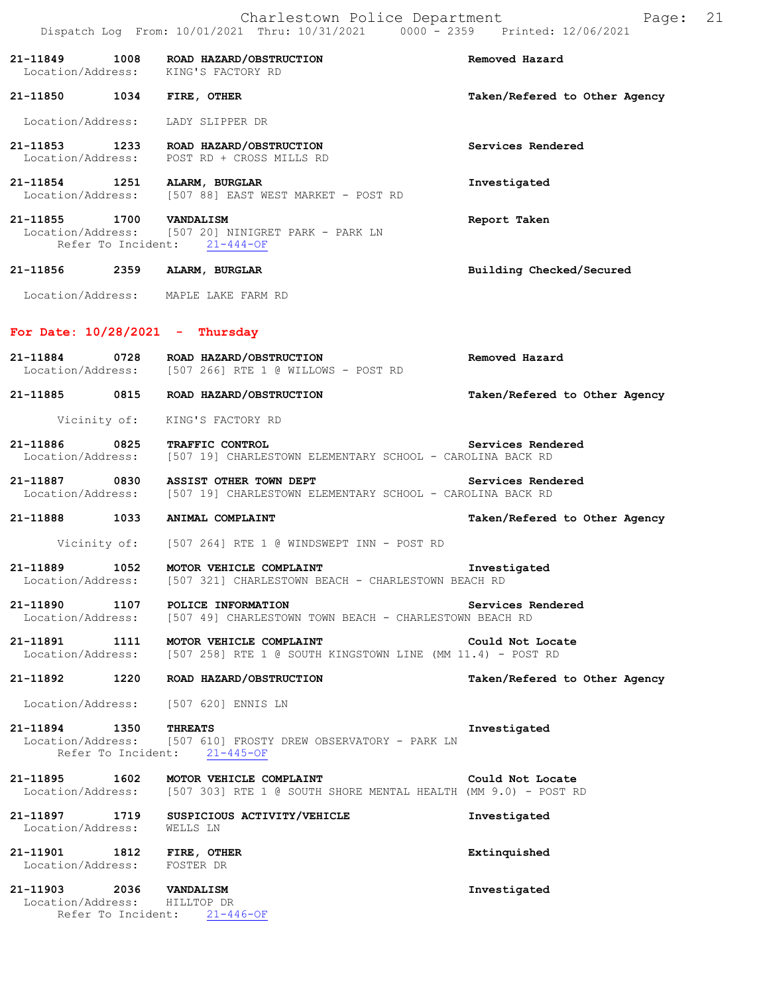|                                                     |      | 21-11849 1008 ROAD HAZARD/OBSTRUCTION<br>Location/Address: KING'S FACTORY RD                                        | Removed Hazard                |
|-----------------------------------------------------|------|---------------------------------------------------------------------------------------------------------------------|-------------------------------|
| 21-11850 1034 FIRE, OTHER                           |      |                                                                                                                     | Taken/Refered to Other Agency |
| Location/Address:                                   |      | LADY SLIPPER DR                                                                                                     |                               |
|                                                     |      | 21-11853 1233 ROAD HAZARD/OBSTRUCTION<br>Location/Address: POST RD + CROSS MILLS RD                                 | Services Rendered             |
| 21-11854 1251 ALARM, BURGLAR                        |      | Location/Address: [507 88] EAST WEST MARKET - POST RD                                                               | Investigated                  |
| 21-11855 1700 VANDALISM                             |      | Location/Address: [507 20] NINIGRET PARK - PARK LN<br>Refer To Incident: 21-444-OF                                  | Report Taken                  |
| 21-11856 2359 ALARM, BURGLAR                        |      |                                                                                                                     | Building Checked/Secured      |
|                                                     |      | Location/Address: MAPLE LAKE FARM RD                                                                                |                               |
| For Date: $10/28/2021$ - Thursday                   |      |                                                                                                                     |                               |
|                                                     |      | 21-11884 0728 ROAD HAZARD/OBSTRUCTION<br>Location/Address: [507 266] RTE 1 @ WILLOWS - POST RD                      | Removed Hazard                |
|                                                     |      | 21-11885 0815 ROAD HAZARD/OBSTRUCTION                                                                               | Taken/Refered to Other Agency |
|                                                     |      | Vicinity of: KING'S FACTORY RD                                                                                      |                               |
| 21-11886 0825                                       |      | TRAFFIC CONTROL<br>Location/Address: [507 19] CHARLESTOWN ELEMENTARY SCHOOL - CAROLINA BACK RD                      | Services Rendered             |
|                                                     |      | 21-11887 0830 ASSIST OTHER TOWN DEPT<br>Location/Address: [507 19] CHARLESTOWN ELEMENTARY SCHOOL - CAROLINA BACK RD | Services Rendered             |
|                                                     |      | 21-11888 1033 ANIMAL COMPLAINT                                                                                      | Taken/Refered to Other Agency |
|                                                     |      | Vicinity of: [507 264] RTE 1 @ WINDSWEPT INN - POST RD                                                              |                               |
| 21-11889<br>Location/Address:                       | 1052 | MOTOR VEHICLE COMPLAINT<br>[507 321] CHARLESTOWN BEACH - CHARLESTOWN BEACH RD                                       | Investigated                  |
| 21-11890                                            | 1107 | POLICE INFORMATION<br>Location/Address: [507 49] CHARLESTOWN TOWN BEACH - CHARLESTOWN BEACH RD                      | Services Rendered             |
| 21-11891                                            | 1111 | MOTOR VEHICLE COMPLAINT<br>Location/Address: [507 258] RTE 1 @ SOUTH KINGSTOWN LINE (MM 11.4) - POST RD             | Could Not Locate              |
| 21-11892                                            | 1220 | ROAD HAZARD/OBSTRUCTION                                                                                             | Taken/Refered to Other Agency |
| Location/Address:                                   |      | [507 620] ENNIS LN                                                                                                  |                               |
| 21-11894<br>Location/Address:<br>Refer To Incident: | 1350 | <b>THREATS</b><br>[507 610] FROSTY DREW OBSERVATORY - PARK LN<br>$21 - 445 - OF$                                    | Investigated                  |
| 21-11895                                            | 1602 | MOTOR VEHICLE COMPLAINT<br>Location/Address: [507 303] RTE 1 @ SOUTH SHORE MENTAL HEALTH (MM 9.0) - POST RD         | Could Not Locate              |
| 21-11897 1719<br>Location/Address:                  |      | SUSPICIOUS ACTIVITY/VEHICLE<br>WELLS LN                                                                             | Investigated                  |
| 21-11901<br>Location/Address:                       | 1812 | <b>FIRE, OTHER</b><br>FOSTER DR                                                                                     | Extinquished                  |
| 21-11903                                            | 2036 | <b>VANDALISM</b>                                                                                                    | Investigated                  |

 Location/Address: HILLTOP DR Refer To Incident: 21-446-OF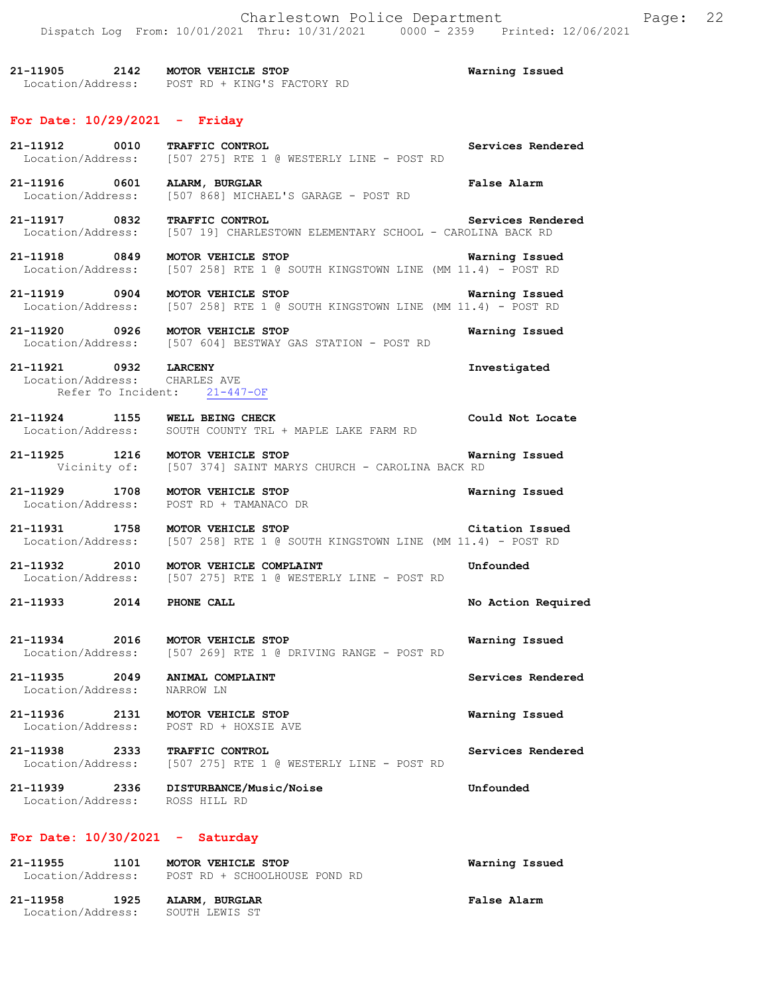**21-11905 2142 MOTOR VEHICLE STOP Warning Issued**  Location/Address: POST RD + KING'S FACTORY RD

### **For Date: 10/29/2021 - Friday**

| 21-11912 0010<br>Location/Address:                            | TRAFFIC CONTROL<br>[507 275] RTE 1 @ WESTERLY LINE - POST RD                                         | Services Rendered  |  |
|---------------------------------------------------------------|------------------------------------------------------------------------------------------------------|--------------------|--|
| 21-11916 0601<br>Location/Address:                            | ALARM, BURGLAR<br>[507 868] MICHAEL'S GARAGE - POST RD                                               | False Alarm        |  |
| 21-11917 0832<br>Location/Address:                            | TRAFFIC CONTROL<br>[507 19] CHARLESTOWN ELEMENTARY SCHOOL - CAROLINA BACK RD                         | Services Rendered  |  |
| 21-11918 0849                                                 | MOTOR VEHICLE STOP<br>Location/Address: [507 258] RTE 1 @ SOUTH KINGSTOWN LINE (MM 11.4) - POST RD   | Warning Issued     |  |
| 21-11919 0904 MOTOR VEHICLE STOP                              | Location/Address: [507 258] RTE 1 @ SOUTH KINGSTOWN LINE (MM 11.4) - POST RD                         | Warning Issued     |  |
| 21-11920 0926 MOTOR VEHICLE STOP                              | Location/Address: [507 604] BESTWAY GAS STATION - POST RD                                            | Warning Issued     |  |
| 21-11921 0932 LARCENY<br>Location/Address: CHARLES AVE        | Refer To Incident: 21-447-OF                                                                         | Investigated       |  |
| $21-11924$ 1155<br>Location/Address:                          | WELL BEING CHECK<br>SOUTH COUNTY TRL + MAPLE LAKE FARM RD                                            | Could Not Locate   |  |
| 21-11925 1216 MOTOR VEHICLE STOP                              | Vicinity of: [507 374] SAINT MARYS CHURCH - CAROLINA BACK RD                                         | Warning Issued     |  |
| 21-11929 1708<br>Location/Address:                            | MOTOR VEHICLE STOP<br>POST RD + TAMANACO DR                                                          | Warning Issued     |  |
| 21-11931 1758 MOTOR VEHICLE STOP                              | Location/Address: [507 258] RTE 1 @ SOUTH KINGSTOWN LINE (MM 11.4) - POST RD                         | Citation Issued    |  |
|                                                               | 21-11932 2010 MOTOR VEHICLE COMPLAINT<br>Location/Address: [507 275] RTE 1 @ WESTERLY LINE - POST RD | Unfounded          |  |
| 21-11933 2014                                                 | PHONE CALL                                                                                           | No Action Required |  |
| 21-11934 2016 MOTOR VEHICLE STOP                              | Location/Address: [507 269] RTE 1 @ DRIVING RANGE - POST RD                                          | Warning Issued     |  |
| 21-11935 2049 ANIMAL COMPLAINT<br>Location/Address: NARROW LN |                                                                                                      | Services Rendered  |  |
| 21-11936<br>2131<br>Location/Address:                         | MOTOR VEHICLE STOP<br>POST RD + HOXSIE AVE                                                           | Warning Issued     |  |
| 21-11938<br>2333<br>Location/Address:                         | TRAFFIC CONTROL<br>[507 275] RTE 1 @ WESTERLY LINE - POST RD                                         | Services Rendered  |  |
| 21-11939 2336<br>Location/Address:                            | <b>DISTURBANCE/Music/Noise</b><br>ROSS HILL RD                                                       | Unfounded          |  |
| For Date: $10/30/2021$ - Saturday                             |                                                                                                      |                    |  |
| 21-11955<br>1101<br>Location/Address:                         | MOTOR VEHICLE STOP<br>POST RD + SCHOOLHOUSE POND RD                                                  | Warning Issued     |  |

| 21-11958          | 1925 | ALARM, BURGLAR | <b>False Alarm</b> |
|-------------------|------|----------------|--------------------|
| Location/Address: |      | SOUTH LEWIS ST |                    |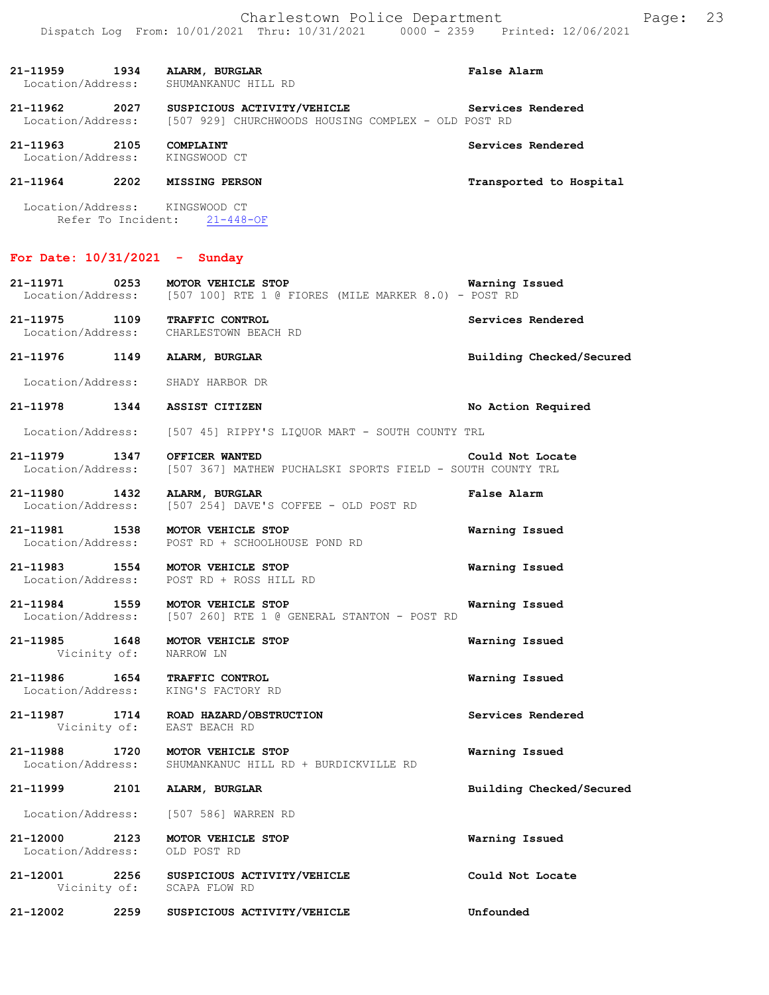| 21-11959<br>Location/Address:           | 1934 | ALARM, BURGLAR<br>SHUMANKANUC HILL RD                                              | False Alarm             |
|-----------------------------------------|------|------------------------------------------------------------------------------------|-------------------------|
| 21-11962<br>Location/Address:           | 2027 | SUSPICIOUS ACTIVITY/VEHICLE<br>[507 929] CHURCHWOODS HOUSING COMPLEX - OLD POST RD | Services Rendered       |
| 21-11963<br>Location/Address:           | 2105 | <b>COMPLAINT</b><br>KINGSWOOD CT                                                   | Services Rendered       |
| 21-11964                                | 2202 | <b>MISSING PERSON</b>                                                              | Transported to Hospital |
| Location/Address:<br>Refer To Incident: |      | KINGSWOOD CT<br>$21 - 448 - OF$                                                    |                         |

# **For Date: 10/31/2021 - Sunday**

| 21-12002                           | 2259                 | SUSPICIOUS ACTIVITY/VEHICLE                                                                  | Unfounded                |
|------------------------------------|----------------------|----------------------------------------------------------------------------------------------|--------------------------|
| 21-12001                           |                      | 2256 SUSPICIOUS ACTIVITY/VEHICLE<br>Vicinity of: SCAPA FLOW RD                               | Could Not Locate         |
| 21-12000<br>Location/Address:      | 2123                 | MOTOR VEHICLE STOP<br>OLD POST RD                                                            | Warning Issued           |
| Location/Address:                  |                      | [507 586] WARREN RD                                                                          |                          |
| 21-11999                           | 2101                 | ALARM, BURGLAR                                                                               | Building Checked/Secured |
| 21-11988<br>Location/Address:      | 1720                 | MOTOR VEHICLE STOP<br>SHUMANKANUC HILL RD + BURDICKVILLE RD                                  | Warning Issued           |
| 21-11987                           | 1714<br>Vicinity of: | ROAD HAZARD/OBSTRUCTION<br>EAST BEACH RD                                                     | Services Rendered        |
| 21-11986                           |                      | 1654 TRAFFIC CONTROL<br>Location/Address: KING'S FACTORY RD                                  | Warning Issued           |
| 21-11985 1648                      |                      | MOTOR VEHICLE STOP<br>Vicinity of: NARROW LN                                                 | Warning Issued           |
| 21-11984<br>Location/Address:      | 1559                 | MOTOR VEHICLE STOP<br>[507 260] RTE 1 @ GENERAL STANTON - POST RD                            | Warning Issued           |
| 21-11983                           | 1554                 | MOTOR VEHICLE STOP<br>Location/Address: POST RD + ROSS HILL RD                               | Warning Issued           |
| 21-11981<br>Location/Address:      | 1538                 | MOTOR VEHICLE STOP<br>POST RD + SCHOOLHOUSE POND RD                                          | Warning Issued           |
| 21-11980<br>Location/Address:      | 1432                 | ALARM, BURGLAR<br>[507 254] DAVE'S COFFEE - OLD POST RD                                      | False Alarm              |
| 21-11979 1347<br>Location/Address: |                      | OFFICER WANTED<br>[507 367] MATHEW PUCHALSKI SPORTS FIELD - SOUTH COUNTY TRL                 | Could Not Locate         |
|                                    |                      | Location/Address: [507 45] RIPPY'S LIQUOR MART - SOUTH COUNTY TRL                            |                          |
| 21-11978 1344                      |                      | <b>ASSIST CITIZEN</b>                                                                        | No Action Required       |
|                                    |                      | Location/Address: SHADY HARBOR DR                                                            |                          |
| 21-11976 1149                      |                      | ALARM, BURGLAR                                                                               | Building Checked/Secured |
| 21-11975 1109                      |                      | TRAFFIC CONTROL<br>Location/Address: CHARLESTOWN BEACH RD                                    | Services Rendered        |
| 21-11971                           | 0253                 | MOTOR VEHICLE STOP<br>Location/Address: [507 100] RTE 1 @ FIORES (MILE MARKER 8.0) - POST RD | Warning Issued           |